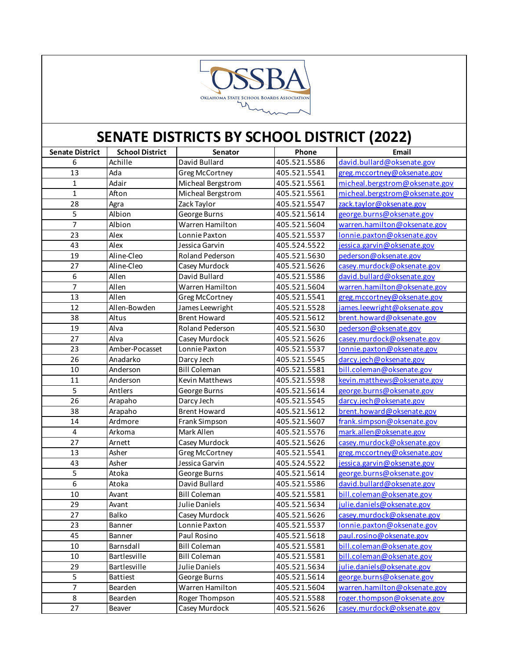

| <b>Senate District</b> | <b>School District</b> | Senator               | Phone        | Email                          |
|------------------------|------------------------|-----------------------|--------------|--------------------------------|
| 6                      | Achille                | David Bullard         | 405.521.5586 | david.bullard@oksenate.gov     |
| 13                     | Ada                    | <b>Greg McCortney</b> | 405.521.5541 | greg.mccortney@oksenate.gov    |
| $\mathbf 1$            | Adair                  | Micheal Bergstrom     | 405.521.5561 | micheal.bergstrom@oksenate.gov |
| $\mathbf 1$            | Afton                  | Micheal Bergstrom     | 405.521.5561 | micheal.bergstrom@oksenate.gov |
| 28                     | Agra                   | Zack Taylor           | 405.521.5547 | zack.taylor@oksenate.gov       |
| $\overline{5}$         | Albion                 | George Burns          | 405.521.5614 | george.burns@oksenate.gov      |
| $\overline{7}$         | Albion                 | Warren Hamilton       | 405.521.5604 | warren.hamilton@oksenate.gov   |
| 23                     | Alex                   | Lonnie Paxton         | 405.521.5537 | lonnie.paxton@oksenate.gov     |
| 43                     | Alex                   | Jessica Garvin        | 405.524.5522 | jessica.garvin@oksenate.gov    |
| 19                     | Aline-Cleo             | Roland Pederson       | 405.521.5630 | pederson@oksenate.gov          |
| 27                     | Aline-Cleo             | Casey Murdock         | 405.521.5626 | casey.murdock@oksenate.gov     |
| $\boldsymbol{6}$       | Allen                  | David Bullard         | 405.521.5586 | david.bullard@oksenate.gov     |
| $\overline{7}$         | Allen                  | Warren Hamilton       | 405.521.5604 | warren.hamilton@oksenate.gov   |
| 13                     | Allen                  | Greg McCortney        | 405.521.5541 | greg.mccortney@oksenate.gov    |
| 12                     | Allen-Bowden           | James Leewright       | 405.521.5528 | james.leewright@oksenate.gov   |
| 38                     | Altus                  | <b>Brent Howard</b>   | 405.521.5612 | brent.howard@oksenate.gov      |
| 19                     | Alva                   | Roland Pederson       | 405.521.5630 | pederson@oksenate.gov          |
| 27                     | Alva                   | Casey Murdock         | 405.521.5626 | casey.murdock@oksenate.gov     |
| 23                     | Amber-Pocasset         | Lonnie Paxton         | 405.521.5537 | lonnie.paxton@oksenate.gov     |
| 26                     | Anadarko               | Darcy Jech            | 405.521.5545 | darcy.jech@oksenate.gov        |
| $10\,$                 | Anderson               | <b>Bill Coleman</b>   | 405.521.5581 | bill.coleman@oksenate.gov      |
| 11                     | Anderson               | Kevin Matthews        | 405.521.5598 | kevin.matthews@oksenate.gov    |
| 5                      | Antlers                | George Burns          | 405.521.5614 | george.burns@oksenate.gov      |
| $\overline{26}$        | Arapaho                | Darcy Jech            | 405.521.5545 | darcy.jech@oksenate.gov        |
| 38                     | Arapaho                | <b>Brent Howard</b>   | 405.521.5612 | brent.howard@oksenate.gov      |
| 14                     | Ardmore                | Frank Simpson         | 405.521.5607 | frank.simpson@oksenate.gov     |
| $\overline{4}$         | Arkoma                 | Mark Allen            | 405.521.5576 | mark.allen@oksenate.gov        |
| 27                     | Arnett                 | Casey Murdock         | 405.521.5626 | casey.murdock@oksenate.gov     |
| 13                     | Asher                  | Greg McCortney        | 405.521.5541 | greg.mccortney@oksenate.gov    |
| 43                     | Asher                  | Jessica Garvin        | 405.524.5522 | jessica.garvin@oksenate.gov    |
| 5                      | Atoka                  | George Burns          | 405.521.5614 | george.burns@oksenate.gov      |
| $\overline{6}$         | Atoka                  | David Bullard         | 405.521.5586 | david.bullard@oksenate.gov     |
| $10\,$                 | Avant                  | <b>Bill Coleman</b>   | 405.521.5581 | bill.coleman@oksenate.gov      |
| 29                     | Avant                  | Julie Daniels         | 405.521.5634 | julie.daniels@oksenate.gov     |
| 27                     | Balko                  | Casey Murdock         | 405.521.5626 | casey.murdock@oksenate.gov     |
| 23                     | Banner                 | Lonnie Paxton         | 405.521.5537 | lonnie.paxton@oksenate.gov     |
| 45                     | Banner                 | Paul Rosino           | 405.521.5618 | paul.rosino@oksenate.gov       |
| $10\,$                 | Barnsdall              | <b>Bill Coleman</b>   | 405.521.5581 | bill.coleman@oksenate.gov      |
| $10\,$                 | Bartlesville           | <b>Bill Coleman</b>   | 405.521.5581 | bill.coleman@oksenate.gov      |
| 29                     | Bartlesville           | Julie Daniels         | 405.521.5634 | julie.daniels@oksenate.gov     |
| 5                      | <b>Battiest</b>        | George Burns          | 405.521.5614 | george.burns@oksenate.gov      |
| $\overline{7}$         | Bearden                | Warren Hamilton       | 405.521.5604 | warren.hamilton@oksenate.gov   |
| 8                      | Bearden                | Roger Thompson        | 405.521.5588 | roger.thompson@oksenate.gov    |
| 27                     | Beaver                 | Casey Murdock         | 405.521.5626 | casey.murdock@oksenate.gov     |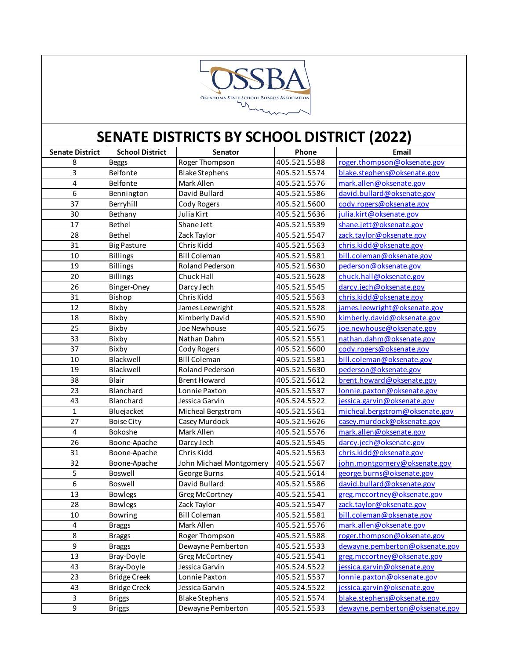

| <b>Senate District</b> | <b>School District</b> | Senator                 | Phone        | Email                          |
|------------------------|------------------------|-------------------------|--------------|--------------------------------|
| 8                      | <b>Beggs</b>           | Roger Thompson          | 405.521.5588 | roger.thompson@oksenate.gov    |
| 3                      | Belfonte               | <b>Blake Stephens</b>   | 405.521.5574 | blake.stephens@oksenate.gov    |
| 4                      | Belfonte               | Mark Allen              | 405.521.5576 | mark.allen@oksenate.gov        |
| 6                      | Bennington             | David Bullard           | 405.521.5586 | david.bullard@oksenate.gov     |
| 37                     | Berryhill              | Cody Rogers             | 405.521.5600 | cody.rogers@oksenate.gov       |
| 30                     | Bethany                | Julia Kirt              | 405.521.5636 | julia.kirt@oksenate.gov        |
| 17                     | Bethel                 | Shane Jett              | 405.521.5539 | shane.jett@oksenate.gov        |
| 28                     | Bethel                 | Zack Taylor             | 405.521.5547 | zack.taylor@oksenate.gov       |
| 31                     | <b>Big Pasture</b>     | Chris Kidd              | 405.521.5563 | chris.kidd@oksenate.gov        |
| 10                     | <b>Billings</b>        | <b>Bill Coleman</b>     | 405.521.5581 | bill.coleman@oksenate.gov      |
| 19                     | <b>Billings</b>        | <b>Roland Pederson</b>  | 405.521.5630 | pederson@oksenate.gov          |
| 20                     | Billings               | Chuck Hall              | 405.521.5628 | chuck.hall@oksenate.gov        |
| 26                     | Binger-Oney            | Darcy Jech              | 405.521.5545 | darcy.jech@oksenate.gov        |
| 31                     | Bishop                 | Chris Kidd              | 405.521.5563 | chris.kidd@oksenate.gov        |
| 12                     | Bixby                  | James Leewright         | 405.521.5528 | james.leewright@oksenate.gov   |
| 18                     | Bixby                  | Kimberly David          | 405.521.5590 | kimberly.david@oksenate.gov    |
| 25                     | Bixby                  | Joe Newhouse            | 405.521.5675 | joe.newhouse@oksenate.gov      |
| 33                     | Bixby                  | Nathan Dahm             | 405.521.5551 | nathan.dahm@oksenate.gov       |
| 37                     | Bixby                  | Cody Rogers             | 405.521.5600 | cody.rogers@oksenate.gov       |
| 10                     | Blackwell              | <b>Bill Coleman</b>     | 405.521.5581 | bill.coleman@oksenate.gov      |
| 19                     | Blackwell              | <b>Roland Pederson</b>  | 405.521.5630 | pederson@oksenate.gov          |
| 38                     | Blair                  | <b>Brent Howard</b>     | 405.521.5612 | brent.howard@oksenate.gov      |
| 23                     | Blanchard              | Lonnie Paxton           | 405.521.5537 | lonnie.paxton@oksenate.gov     |
| 43                     | Blanchard              | Jessica Garvin          | 405.524.5522 | jessica.garvin@oksenate.gov    |
| $\mathbf{1}$           | Bluejacket             | Micheal Bergstrom       | 405.521.5561 | micheal.bergstrom@oksenate.gov |
| 27                     | <b>Boise City</b>      | Casey Murdock           | 405.521.5626 | casey.murdock@oksenate.gov     |
| 4                      | Bokoshe                | Mark Allen              | 405.521.5576 | mark.allen@oksenate.gov        |
| 26                     | Boone-Apache           | Darcy Jech              | 405.521.5545 | darcy.jech@oksenate.gov        |
| 31                     | Boone-Apache           | Chris Kidd              | 405.521.5563 | chris.kidd@oksenate.gov        |
| 32                     | Boone-Apache           | John Michael Montgomery | 405.521.5567 | john.montgomery@oksenate.gov   |
| 5                      | Boswell                | George Burns            | 405.521.5614 | george.burns@oksenate.gov      |
| 6                      | Boswell                | David Bullard           | 405.521.5586 | david.bullard@oksenate.gov     |
| 13                     | <b>Bowlegs</b>         | Greg McCortney          | 405.521.5541 | greg.mccortney@oksenate.gov    |
| 28                     | <b>Bowlegs</b>         | Zack Taylor             | 405.521.5547 | zack.taylor@oksenate.gov       |
| 10                     | Bowring                | <b>Bill Coleman</b>     | 405.521.5581 | bill.coleman@oksenate.gov      |
| 4                      | <b>Braggs</b>          | Mark Allen              | 405.521.5576 | mark.allen@oksenate.gov        |
| 8                      | <b>Braggs</b>          | Roger Thompson          | 405.521.5588 | roger.thompson@oksenate.gov    |
| 9                      | <b>Braggs</b>          | Dewayne Pemberton       | 405.521.5533 | dewayne.pemberton@oksenate.gov |
| 13                     | Bray-Doyle             | <b>Greg McCortney</b>   | 405.521.5541 | greg.mccortney@oksenate.gov    |
| 43                     | Bray-Doyle             | Jessica Garvin          | 405.524.5522 | jessica.garvin@oksenate.gov    |
| 23                     | <b>Bridge Creek</b>    | Lonnie Paxton           | 405.521.5537 | lonnie.paxton@oksenate.gov     |
| 43                     | <b>Bridge Creek</b>    | Jessica Garvin          | 405.524.5522 | jessica.garvin@oksenate.gov    |
| 3                      | <b>Briggs</b>          | <b>Blake Stephens</b>   | 405.521.5574 | blake.stephens@oksenate.gov    |
| 9                      | <b>Briggs</b>          | Dewayne Pemberton       | 405.521.5533 | dewayne.pemberton@oksenate.gov |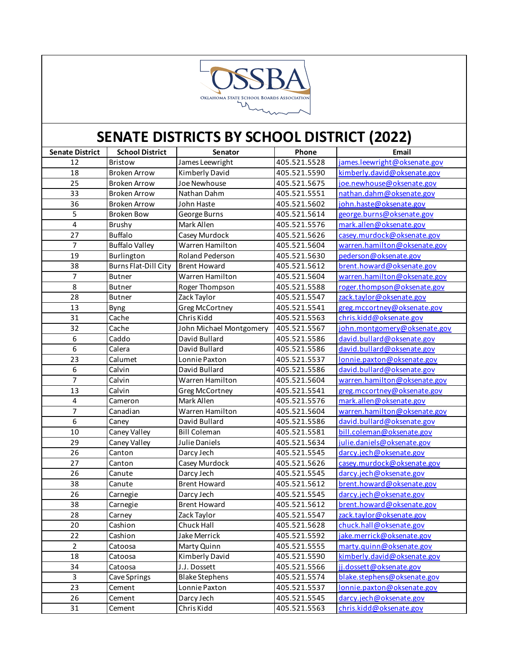

| <b>Senate District</b>  | <b>School District</b>      | Senator                 | Phone        | Email                        |
|-------------------------|-----------------------------|-------------------------|--------------|------------------------------|
| 12                      | Bristow                     | James Leewright         | 405.521.5528 | james.leewright@oksenate.gov |
| 18                      | <b>Broken Arrow</b>         | Kimberly David          | 405.521.5590 | kimberly.david@oksenate.gov  |
| 25                      | <b>Broken Arrow</b>         | Joe Newhouse            | 405.521.5675 | joe.newhouse@oksenate.gov    |
| 33                      | <b>Broken Arrow</b>         | Nathan Dahm             | 405.521.5551 | nathan.dahm@oksenate.gov     |
| 36                      | <b>Broken Arrow</b>         | John Haste              | 405.521.5602 | john.haste@oksenate.gov      |
| 5                       | <b>Broken Bow</b>           | George Burns            | 405.521.5614 | george.burns@oksenate.gov    |
| $\overline{\mathbf{4}}$ | Brushy                      | Mark Allen              | 405.521.5576 | mark.allen@oksenate.gov      |
| 27                      | <b>Buffalo</b>              | Casey Murdock           | 405.521.5626 | casey.murdock@oksenate.gov   |
| $\overline{7}$          | <b>Buffalo Valley</b>       | Warren Hamilton         | 405.521.5604 | warren.hamilton@oksenate.gov |
| 19                      | Burlington                  | Roland Pederson         | 405.521.5630 | pederson@oksenate.gov        |
| 38                      | <b>Burns Flat-Dill City</b> | <b>Brent Howard</b>     | 405.521.5612 | brent.howard@oksenate.gov    |
| $\overline{7}$          | Butner                      | Warren Hamilton         | 405.521.5604 | warren.hamilton@oksenate.gov |
| 8                       | <b>Butner</b>               | Roger Thompson          | 405.521.5588 | roger.thompson@oksenate.gov  |
| 28                      | <b>Butner</b>               | Zack Taylor             | 405.521.5547 | zack.taylor@oksenate.gov     |
| 13                      | <b>Byng</b>                 | Greg McCortney          | 405.521.5541 | greg.mccortney@oksenate.gov  |
| 31                      | Cache                       | Chris Kidd              | 405.521.5563 | chris.kidd@oksenate.gov      |
| 32                      | Cache                       | John Michael Montgomery | 405.521.5567 | john.montgomery@oksenate.gov |
| 6                       | Caddo                       | David Bullard           | 405.521.5586 | david.bullard@oksenate.gov   |
| 6                       | Calera                      | David Bullard           | 405.521.5586 | david.bullard@oksenate.gov   |
| 23                      | Calumet                     | Lonnie Paxton           | 405.521.5537 | lonnie.paxton@oksenate.gov   |
| $\boldsymbol{6}$        | Calvin                      | David Bullard           | 405.521.5586 | david.bullard@oksenate.gov   |
| $\overline{7}$          | Calvin                      | Warren Hamilton         | 405.521.5604 | warren.hamilton@oksenate.gov |
| 13                      | Calvin                      | <b>Greg McCortney</b>   | 405.521.5541 | greg.mccortney@oksenate.gov  |
| $\pmb{4}$               | Cameron                     | Mark Allen              | 405.521.5576 | mark.allen@oksenate.gov      |
| $\overline{7}$          | Canadian                    | Warren Hamilton         | 405.521.5604 | warren.hamilton@oksenate.gov |
| $\boldsymbol{6}$        | Caney                       | David Bullard           | 405.521.5586 | david.bullard@oksenate.gov   |
| $10\,$                  | Caney Valley                | <b>Bill Coleman</b>     | 405.521.5581 | bill.coleman@oksenate.gov    |
| 29                      | Caney Valley                | Julie Daniels           | 405.521.5634 | julie.daniels@oksenate.gov   |
| 26                      | Canton                      | Darcy Jech              | 405.521.5545 | darcy.jech@oksenate.gov      |
| 27                      | Canton                      | Casey Murdock           | 405.521.5626 | casey.murdock@oksenate.gov   |
| 26                      | Canute                      | Darcy Jech              | 405.521.5545 | darcy.jech@oksenate.gov      |
| 38                      | Canute                      | <b>Brent Howard</b>     | 405.521.5612 | brent.howard@oksenate.gov    |
| 26                      | Carnegie                    | Darcy Jech              | 405.521.5545 | darcy.jech@oksenate.gov      |
| 38                      | Carnegie                    | <b>Brent Howard</b>     | 405.521.5612 | brent.howard@oksenate.gov    |
| 28                      | Carney                      | Zack Taylor             | 405.521.5547 | zack.taylor@oksenate.gov     |
| 20                      | Cashion                     | Chuck Hall              | 405.521.5628 | chuck.hall@oksenate.gov      |
| 22                      | Cashion                     | Jake Merrick            | 405.521.5592 | jake.merrick@oksenate.gov    |
| $\overline{2}$          | Catoosa                     | Marty Quinn             | 405.521.5555 | marty.quinn@oksenate.gov     |
| 18                      | Catoosa                     | Kimberly David          | 405.521.5590 | kimberly.david@oksenate.gov  |
| 34                      | Catoosa                     | J.J. Dossett            | 405.521.5566 | jj.dossett@oksenate.gov      |
| $\overline{3}$          | Cave Springs                | <b>Blake Stephens</b>   | 405.521.5574 | blake.stephens@oksenate.gov  |
| 23                      | Cement                      | Lonnie Paxton           | 405.521.5537 | lonnie.paxton@oksenate.gov   |
| 26                      | Cement                      | Darcy Jech              | 405.521.5545 | darcy.jech@oksenate.gov      |
| 31                      | Cement                      | Chris Kidd              | 405.521.5563 | chris.kidd@oksenate.gov      |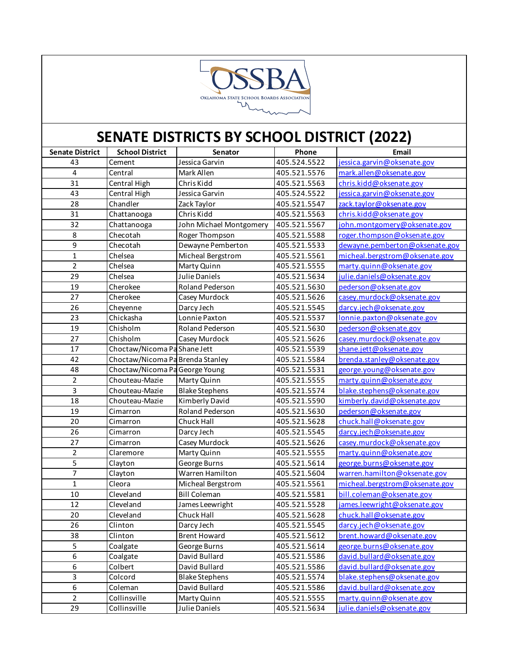

| <b>Senate District</b> | <b>School District</b>           | Senator                 | Phone        | Email                          |
|------------------------|----------------------------------|-------------------------|--------------|--------------------------------|
| 43                     | Cement                           | Jessica Garvin          | 405.524.5522 | jessica.garvin@oksenate.gov    |
| $\overline{4}$         | Central                          | Mark Allen              | 405.521.5576 | mark.allen@oksenate.gov        |
| 31                     | Central High                     | Chris Kidd              | 405.521.5563 | chris.kidd@oksenate.gov        |
| 43                     | Central High                     | Jessica Garvin          | 405.524.5522 | jessica.garvin@oksenate.gov    |
| 28                     | Chandler                         | Zack Taylor             | 405.521.5547 | zack.taylor@oksenate.gov       |
| 31                     | Chattanooga                      | Chris Kidd              | 405.521.5563 | chris.kidd@oksenate.gov        |
| 32                     | Chattanooga                      | John Michael Montgomery | 405.521.5567 | john.montgomery@oksenate.gov   |
| 8                      | Checotah                         | Roger Thompson          | 405.521.5588 | roger.thompson@oksenate.gov    |
| $\overline{9}$         | Checotah                         | Dewayne Pemberton       | 405.521.5533 | dewayne.pemberton@oksenate.gov |
| $\mathbf 1$            | Chelsea                          | Micheal Bergstrom       | 405.521.5561 | micheal.bergstrom@oksenate.gov |
| $\overline{2}$         | Chelsea                          | Marty Quinn             | 405.521.5555 | marty.quinn@oksenate.gov       |
| 29                     | Chelsea                          | Julie Daniels           | 405.521.5634 | julie.daniels@oksenate.gov     |
| 19                     | Cherokee                         | Roland Pederson         | 405.521.5630 | pederson@oksenate.gov          |
| 27                     | Cherokee                         | Casey Murdock           | 405.521.5626 | casey.murdock@oksenate.gov     |
| 26                     | Cheyenne                         | Darcy Jech              | 405.521.5545 | darcy.jech@oksenate.gov        |
| 23                     | Chickasha                        | Lonnie Paxton           | 405.521.5537 | lonnie.paxton@oksenate.gov     |
| 19                     | Chisholm                         | Roland Pederson         | 405.521.5630 | pederson@oksenate.gov          |
| 27                     | Chisholm                         | Casey Murdock           | 405.521.5626 | casey.murdock@oksenate.gov     |
| 17                     | Choctaw/Nicoma Pa Shane Jett     |                         | 405.521.5539 | shane.jett@oksenate.gov        |
| 42                     | Choctaw/Nicoma Pa Brenda Stanley |                         | 405.521.5584 | brenda.stanley@oksenate.gov    |
| 48                     | Choctaw/Nicoma Pa George Young   |                         | 405.521.5531 | george.young@oksenate.gov      |
| $\overline{2}$         | Chouteau-Mazie                   | Marty Quinn             | 405.521.5555 | marty.quinn@oksenate.gov       |
| 3                      | Chouteau-Mazie                   | <b>Blake Stephens</b>   | 405.521.5574 | blake.stephens@oksenate.gov    |
| 18                     | Chouteau-Mazie                   | Kimberly David          | 405.521.5590 | kimberly.david@oksenate.gov    |
| 19                     | Cimarron                         | Roland Pederson         | 405.521.5630 | pederson@oksenate.gov          |
| 20                     | Cimarron                         | Chuck Hall              | 405.521.5628 | chuck.hall@oksenate.gov        |
| 26                     | Cimarron                         | Darcy Jech              | 405.521.5545 | darcy.jech@oksenate.gov        |
| 27                     | Cimarron                         | Casey Murdock           | 405.521.5626 | casey.murdock@oksenate.gov     |
| $\overline{2}$         | Claremore                        | Marty Quinn             | 405.521.5555 | marty.quinn@oksenate.gov       |
| 5                      | Clayton                          | George Burns            | 405.521.5614 | george.burns@oksenate.gov      |
| 7                      | Clayton                          | Warren Hamilton         | 405.521.5604 | warren.hamilton@oksenate.gov   |
| $\mathbf{1}$           | Cleora                           | Micheal Bergstrom       | 405.521.5561 | micheal.bergstrom@oksenate.gov |
| 10                     | Cleveland                        | <b>Bill Coleman</b>     | 405.521.5581 | bill.coleman@oksenate.gov      |
| 12                     | Cleveland                        | James Leewright         | 405.521.5528 | james.leewright@oksenate.gov   |
| 20                     | Cleveland                        | Chuck Hall              | 405.521.5628 | chuck.hall@oksenate.gov        |
| 26                     | Clinton                          | Darcy Jech              | 405.521.5545 | darcy.jech@oksenate.gov        |
| 38                     | Clinton                          | <b>Brent Howard</b>     | 405.521.5612 | brent.howard@oksenate.gov      |
| 5                      | Coalgate                         | George Burns            | 405.521.5614 | george.burns@oksenate.gov      |
| 6                      | Coalgate                         | David Bullard           | 405.521.5586 | david.bullard@oksenate.gov     |
| 6                      | Colbert                          | David Bullard           | 405.521.5586 | david.bullard@oksenate.gov     |
| 3                      | Colcord                          | <b>Blake Stephens</b>   | 405.521.5574 | blake.stephens@oksenate.gov    |
| 6                      | Coleman                          | David Bullard           | 405.521.5586 | david.bullard@oksenate.gov     |
| $\overline{2}$         | Collinsville                     | Marty Quinn             | 405.521.5555 | marty.quinn@oksenate.gov       |
| 29                     | Collinsville                     | Julie Daniels           | 405.521.5634 | julie.daniels@oksenate.gov     |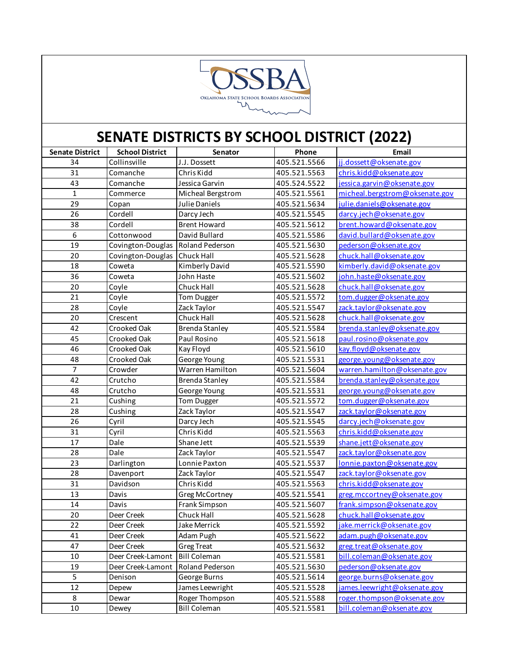

| <b>Senate District</b> | <b>School District</b> | Senator               | Phone        | Email                          |
|------------------------|------------------------|-----------------------|--------------|--------------------------------|
| 34                     | Collinsville           | J.J. Dossett          | 405.521.5566 | jj.dossett@oksenate.gov        |
| 31                     | Comanche               | Chris Kidd            | 405.521.5563 | chris.kidd@oksenate.gov        |
| 43                     | Comanche               | Jessica Garvin        | 405.524.5522 | jessica.garvin@oksenate.gov    |
| $\mathbf{1}$           | Commerce               | Micheal Bergstrom     | 405.521.5561 | micheal.bergstrom@oksenate.gov |
| 29                     | Copan                  | Julie Daniels         | 405.521.5634 | julie.daniels@oksenate.gov     |
| 26                     | Cordell                | Darcy Jech            | 405.521.5545 | darcy.jech@oksenate.gov        |
| 38                     | Cordell                | <b>Brent Howard</b>   | 405.521.5612 | brent.howard@oksenate.gov      |
| 6                      | Cottonwood             | David Bullard         | 405.521.5586 | david.bullard@oksenate.gov     |
| 19                     | Covington-Douglas      | Roland Pederson       | 405.521.5630 | pederson@oksenate.gov          |
| 20                     | Covington-Douglas      | <b>Chuck Hall</b>     | 405.521.5628 | chuck.hall@oksenate.gov        |
| 18                     | Coweta                 | Kimberly David        | 405.521.5590 | kimberly.david@oksenate.gov    |
| 36                     | Coweta                 | John Haste            | 405.521.5602 | john.haste@oksenate.gov        |
| 20                     | Coyle                  | Chuck Hall            | 405.521.5628 | chuck.hall@oksenate.gov        |
| 21                     | Coyle                  | <b>Tom Dugger</b>     | 405.521.5572 | tom.dugger@oksenate.gov        |
| 28                     | Coyle                  | Zack Taylor           | 405.521.5547 | zack.taylor@oksenate.gov       |
| 20                     | Crescent               | Chuck Hall            | 405.521.5628 | chuck.hall@oksenate.gov        |
| 42                     | Crooked Oak            | <b>Brenda Stanley</b> | 405.521.5584 | brenda.stanley@oksenate.gov    |
| 45                     | Crooked Oak            | Paul Rosino           | 405.521.5618 | paul.rosino@oksenate.gov       |
| 46                     | Crooked Oak            | Kay Floyd             | 405.521.5610 | kay.floyd@oksenate.gov         |
| 48                     | Crooked Oak            | George Young          | 405.521.5531 | george.young@oksenate.gov      |
| 7                      | Crowder                | Warren Hamilton       | 405.521.5604 | warren.hamilton@oksenate.gov   |
| 42                     | Crutcho                | <b>Brenda Stanley</b> | 405.521.5584 | brenda.stanley@oksenate.gov    |
| 48                     | Crutcho                | George Young          | 405.521.5531 | george.young@oksenate.gov      |
| 21                     | Cushing                | <b>Tom Dugger</b>     | 405.521.5572 | tom.dugger@oksenate.gov        |
| 28                     | Cushing                | Zack Taylor           | 405.521.5547 | zack.taylor@oksenate.gov       |
| 26                     | Cyril                  | Darcy Jech            | 405.521.5545 | darcy.jech@oksenate.gov        |
| 31                     | Cyril                  | Chris Kidd            | 405.521.5563 | chris.kidd@oksenate.gov        |
| 17                     | Dale                   | Shane Jett            | 405.521.5539 | shane.jett@oksenate.gov        |
| 28                     | Dale                   | Zack Taylor           | 405.521.5547 | zack.taylor@oksenate.gov       |
| 23                     | Darlington             | Lonnie Paxton         | 405.521.5537 | lonnie.paxton@oksenate.gov     |
| 28                     | Davenport              | Zack Taylor           | 405.521.5547 | zack.taylor@oksenate.gov       |
| 31                     | Davidson               | Chris Kidd            | 405.521.5563 | chris.kidd@oksenate.gov        |
| 13                     | Davis                  | Greg McCortney        | 405.521.5541 | greg.mccortney@oksenate.gov    |
| 14                     | Davis                  | Frank Simpson         | 405.521.5607 | frank.simpson@oksenate.gov     |
| 20                     | Deer Creek             | <b>Chuck Hall</b>     | 405.521.5628 | chuck.hall@oksenate.gov        |
| 22                     | Deer Creek             | Jake Merrick          | 405.521.5592 | jake.merrick@oksenate.gov      |
| 41                     | Deer Creek             | Adam Pugh             | 405.521.5622 | adam.pugh@oksenate.gov         |
| 47                     | Deer Creek             | <b>Greg Treat</b>     | 405.521.5632 | greg.treat@oksenate.gov        |
| 10                     | Deer Creek-Lamont      | <b>Bill Coleman</b>   | 405.521.5581 | bill.coleman@oksenate.gov      |
| 19                     | Deer Creek-Lamont      | Roland Pederson       | 405.521.5630 | pederson@oksenate.gov          |
| 5                      | Denison                | George Burns          | 405.521.5614 | george.burns@oksenate.gov      |
| 12                     | Depew                  | James Leewright       | 405.521.5528 | james.leewright@oksenate.gov   |
| 8                      | Dewar                  | Roger Thompson        | 405.521.5588 | roger.thompson@oksenate.gov    |
| 10                     | Dewey                  | <b>Bill Coleman</b>   | 405.521.5581 | bill.coleman@oksenate.gov      |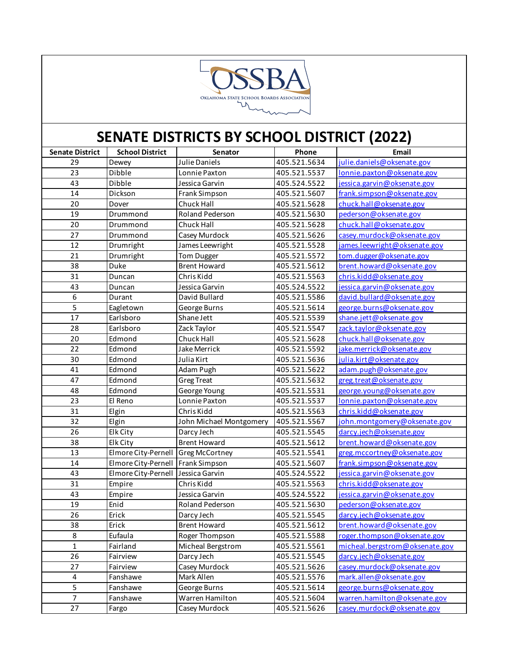

| <b>Senate District</b> | <b>School District</b> | Senator                 | Phone        | Email                          |
|------------------------|------------------------|-------------------------|--------------|--------------------------------|
| 29                     | Dewey                  | Julie Daniels           | 405.521.5634 | julie.daniels@oksenate.gov     |
| 23                     | Dibble                 | Lonnie Paxton           | 405.521.5537 | lonnie.paxton@oksenate.gov     |
| 43                     | Dibble                 | Jessica Garvin          | 405.524.5522 | jessica.garvin@oksenate.gov    |
| 14                     | Dickson                | Frank Simpson           | 405.521.5607 | frank.simpson@oksenate.gov     |
| $20\,$                 | Dover                  | Chuck Hall              | 405.521.5628 | chuck.hall@oksenate.gov        |
| 19                     | Drummond               | Roland Pederson         | 405.521.5630 | pederson@oksenate.gov          |
| $20\,$                 | Drummond               | Chuck Hall              | 405.521.5628 | chuck.hall@oksenate.gov        |
| 27                     | Drummond               | Casey Murdock           | 405.521.5626 | casey.murdock@oksenate.gov     |
| 12                     | Drumright              | James Leewright         | 405.521.5528 | james.leewright@oksenate.gov   |
| 21                     | Drumright              | <b>Tom Dugger</b>       | 405.521.5572 | tom.dugger@oksenate.gov        |
| 38                     | Duke                   | <b>Brent Howard</b>     | 405.521.5612 | brent.howard@oksenate.gov      |
| 31                     | Duncan                 | Chris Kidd              | 405.521.5563 | chris.kidd@oksenate.gov        |
| 43                     | Duncan                 | Jessica Garvin          | 405.524.5522 | jessica.garvin@oksenate.gov    |
| 6                      | Durant                 | David Bullard           | 405.521.5586 | david.bullard@oksenate.gov     |
| 5                      | Eagletown              | George Burns            | 405.521.5614 | george.burns@oksenate.gov      |
| 17                     | Earlsboro              | Shane Jett              | 405.521.5539 | shane.jett@oksenate.gov        |
| 28                     | Earlsboro              | Zack Taylor             | 405.521.5547 | zack.taylor@oksenate.gov       |
| 20                     | Edmond                 | Chuck Hall              | 405.521.5628 | chuck.hall@oksenate.gov        |
| 22                     | Edmond                 | Jake Merrick            | 405.521.5592 | jake.merrick@oksenate.gov      |
| 30                     | Edmond                 | Julia Kirt              | 405.521.5636 | julia.kirt@oksenate.gov        |
| 41                     | Edmond                 | Adam Pugh               | 405.521.5622 | adam.pugh@oksenate.gov         |
| 47                     | Edmond                 | <b>Greg Treat</b>       | 405.521.5632 | greg.treat@oksenate.gov        |
| 48                     | Edmond                 | George Young            | 405.521.5531 | george.young@oksenate.gov      |
| 23                     | El Reno                | Lonnie Paxton           | 405.521.5537 | lonnie.paxton@oksenate.gov     |
| 31                     | Elgin                  | Chris Kidd              | 405.521.5563 | chris.kidd@oksenate.gov        |
| 32                     | Elgin                  | John Michael Montgomery | 405.521.5567 | john.montgomery@oksenate.gov   |
| 26                     | Elk City               | Darcy Jech              | 405.521.5545 | darcy.jech@oksenate.gov        |
| 38                     | Elk City               | <b>Brent Howard</b>     | 405.521.5612 | brent.howard@oksenate.gov      |
| 13                     | Elmore City-Pernell    | <b>Greg McCortney</b>   | 405.521.5541 | greg.mccortney@oksenate.gov    |
| 14                     | Elmore City-Pernell    | <b>Frank Simpson</b>    | 405.521.5607 | frank.simpson@oksenate.gov     |
| 43                     | Elmore City-Pernell    | Jessica Garvin          | 405.524.5522 | jessica.garvin@oksenate.gov    |
| 31                     | Empire                 | Chris Kidd              | 405.521.5563 | chris.kidd@oksenate.gov        |
| 43                     | Empire                 | Jessica Garvin          | 405.524.5522 | jessica.garvin@oksenate.gov    |
| 19                     | Enid                   | Roland Pederson         | 405.521.5630 | pederson@oksenate.gov          |
| 26                     | Erick                  | Darcy Jech              | 405.521.5545 | darcy.jech@oksenate.gov        |
| 38                     | Erick                  | <b>Brent Howard</b>     | 405.521.5612 | brent.howard@oksenate.gov      |
| 8                      | Eufaula                | Roger Thompson          | 405.521.5588 | roger.thompson@oksenate.gov    |
| $\mathbf{1}$           | Fairland               | Micheal Bergstrom       | 405.521.5561 | micheal.bergstrom@oksenate.gov |
| 26                     | Fairview               | Darcy Jech              | 405.521.5545 | darcy.jech@oksenate.gov        |
| 27                     | Fairview               | Casey Murdock           | 405.521.5626 | casey.murdock@oksenate.gov     |
| $\pmb{4}$              | Fanshawe               | Mark Allen              | 405.521.5576 | mark.allen@oksenate.gov        |
| 5                      | Fanshawe               | George Burns            | 405.521.5614 | george.burns@oksenate.gov      |
| $\overline{7}$         | Fanshawe               | Warren Hamilton         | 405.521.5604 | warren.hamilton@oksenate.gov   |
| 27                     | Fargo                  | Casey Murdock           | 405.521.5626 | casey.murdock@oksenate.gov     |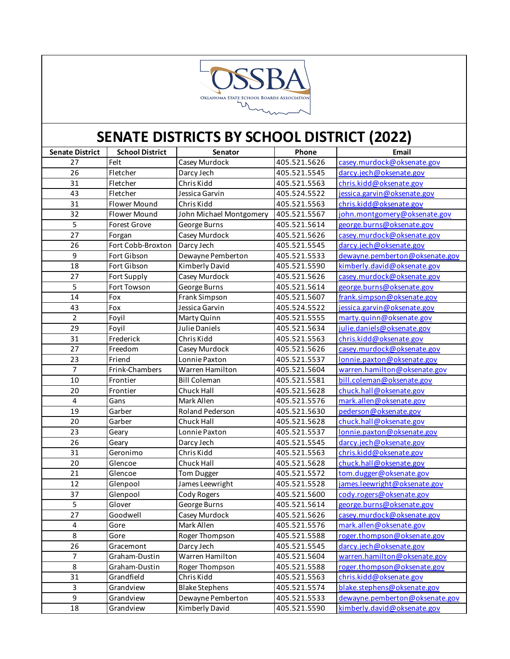

| <b>Senate District</b> | <b>School District</b> | Senator                 | Phone        | Email                          |
|------------------------|------------------------|-------------------------|--------------|--------------------------------|
| 27                     | Felt                   | Casey Murdock           | 405.521.5626 | casey.murdock@oksenate.gov     |
| 26                     | Fletcher               | Darcy Jech              | 405.521.5545 | darcy.jech@oksenate.gov        |
| 31                     | Fletcher               | Chris Kidd              | 405.521.5563 | chris.kidd@oksenate.gov        |
| 43                     | Fletcher               | Jessica Garvin          | 405.524.5522 | jessica.garvin@oksenate.gov    |
| 31                     | Flower Mound           | Chris Kidd              | 405.521.5563 | chris.kidd@oksenate.gov        |
| 32                     | Flower Mound           | John Michael Montgomery | 405.521.5567 | john.montgomery@oksenate.gov   |
| 5                      | <b>Forest Grove</b>    | George Burns            | 405.521.5614 | george.burns@oksenate.gov      |
| 27                     | Forgan                 | Casey Murdock           | 405.521.5626 | casey.murdock@oksenate.gov     |
| 26                     | Fort Cobb-Broxton      | Darcy Jech              | 405.521.5545 | darcy.jech@oksenate.gov        |
| 9                      | Fort Gibson            | Dewayne Pemberton       | 405.521.5533 | dewayne.pemberton@oksenate.gov |
| 18                     | Fort Gibson            | Kimberly David          | 405.521.5590 | kimberly.david@oksenate.gov    |
| 27                     | Fort Supply            | Casey Murdock           | 405.521.5626 | casey.murdock@oksenate.gov     |
| $\overline{5}$         | Fort Towson            | George Burns            | 405.521.5614 | george.burns@oksenate.gov      |
| 14                     | Fox                    | Frank Simpson           | 405.521.5607 | frank.simpson@oksenate.gov     |
| 43                     | Fox                    | Jessica Garvin          | 405.524.5522 | jessica.garvin@oksenate.gov    |
| $\overline{2}$         | Foyil                  | Marty Quinn             | 405.521.5555 | marty.quinn@oksenate.gov       |
| 29                     | Foyil                  | Julie Daniels           | 405.521.5634 | julie.daniels@oksenate.gov     |
| 31                     | Frederick              | Chris Kidd              | 405.521.5563 | chris.kidd@oksenate.gov        |
| 27                     | Freedom                | Casey Murdock           | 405.521.5626 | casey.murdock@oksenate.gov     |
| 23                     | Friend                 | Lonnie Paxton           | 405.521.5537 | lonnie.paxton@oksenate.gov     |
| $\overline{7}$         | Frink-Chambers         | Warren Hamilton         | 405.521.5604 | warren.hamilton@oksenate.gov   |
| 10                     | Frontier               | <b>Bill Coleman</b>     | 405.521.5581 | bill.coleman@oksenate.gov      |
| 20                     | Frontier               | Chuck Hall              | 405.521.5628 | chuck.hall@oksenate.gov        |
| 4                      | Gans                   | Mark Allen              | 405.521.5576 | mark.allen@oksenate.gov        |
| 19                     | Garber                 | Roland Pederson         | 405.521.5630 | pederson@oksenate.gov          |
| 20                     | Garber                 | Chuck Hall              | 405.521.5628 | chuck.hall@oksenate.gov        |
| 23                     | Geary                  | Lonnie Paxton           | 405.521.5537 | lonnie.paxton@oksenate.gov     |
| 26                     | Geary                  | Darcy Jech              | 405.521.5545 | darcy.jech@oksenate.gov        |
| 31                     | Geronimo               | Chris Kidd              | 405.521.5563 | chris.kidd@oksenate.gov        |
| 20                     | Glencoe                | Chuck Hall              | 405.521.5628 | chuck.hall@oksenate.gov        |
| 21                     | Glencoe                | Tom Dugger              | 405.521.5572 | tom.dugger@oksenate.gov        |
| 12                     | Glenpool               | James Leewright         | 405.521.5528 | james.leewright@oksenate.gov   |
| 37                     | Glenpool               | Cody Rogers             | 405.521.5600 | cody.rogers@oksenate.gov       |
| 5                      | Glover                 | George Burns            | 405.521.5614 | george.burns@oksenate.gov      |
| 27                     | Goodwell               | Casey Murdock           | 405.521.5626 | casey.murdock@oksenate.gov     |
| $\pmb{4}$              | Gore                   | Mark Allen              | 405.521.5576 | mark.allen@oksenate.gov        |
| 8                      | Gore                   | Roger Thompson          | 405.521.5588 | roger.thompson@oksenate.gov    |
| 26                     | Gracemont              | Darcy Jech              | 405.521.5545 | darcy.jech@oksenate.gov        |
| $\overline{7}$         | Graham-Dustin          | Warren Hamilton         | 405.521.5604 | warren.hamilton@oksenate.gov   |
| 8                      | Graham-Dustin          | Roger Thompson          | 405.521.5588 | roger.thompson@oksenate.gov    |
| 31                     | Grandfield             | Chris Kidd              | 405.521.5563 | chris.kidd@oksenate.gov        |
| 3                      | Grandview              | <b>Blake Stephens</b>   | 405.521.5574 | blake.stephens@oksenate.gov    |
| 9                      | Grandview              | Dewayne Pemberton       | 405.521.5533 | dewayne.pemberton@oksenate.gov |
| 18                     | Grandview              | Kimberly David          | 405.521.5590 | kimberly.david@oksenate.gov    |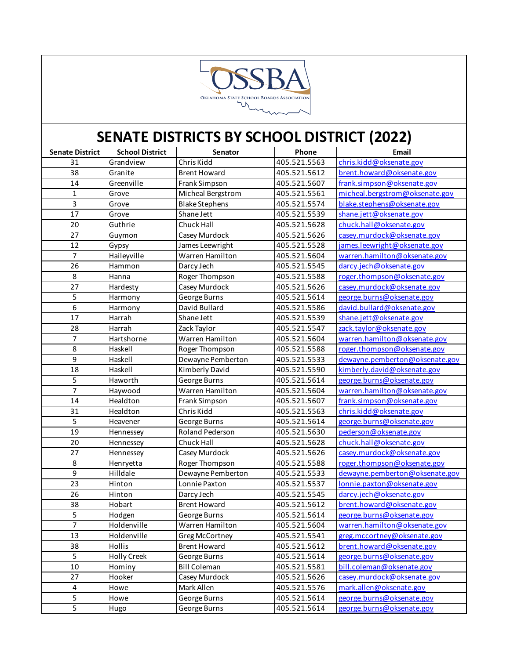

| <b>Senate District</b> | <b>School District</b> | Senator                | Phone        | Email                          |
|------------------------|------------------------|------------------------|--------------|--------------------------------|
| 31                     | Grandview              | Chris Kidd             | 405.521.5563 | chris.kidd@oksenate.gov        |
| 38                     | Granite                | <b>Brent Howard</b>    | 405.521.5612 | brent.howard@oksenate.gov      |
| 14                     | Greenville             | Frank Simpson          | 405.521.5607 | frank.simpson@oksenate.gov     |
| $\mathbf{1}$           | Grove                  | Micheal Bergstrom      | 405.521.5561 | micheal.bergstrom@oksenate.gov |
| 3                      | Grove                  | <b>Blake Stephens</b>  | 405.521.5574 | blake.stephens@oksenate.gov    |
| 17                     | Grove                  | Shane Jett             | 405.521.5539 | shane.jett@oksenate.gov        |
| 20                     | Guthrie                | Chuck Hall             | 405.521.5628 | chuck.hall@oksenate.gov        |
| 27                     | Guymon                 | Casey Murdock          | 405.521.5626 | casey.murdock@oksenate.gov     |
| 12                     | Gypsy                  | James Leewright        | 405.521.5528 | james.leewright@oksenate.gov   |
| $\overline{7}$         | Haileyville            | <b>Warren Hamilton</b> | 405.521.5604 | warren.hamilton@oksenate.gov   |
| 26                     | Hammon                 | Darcy Jech             | 405.521.5545 | darcy.jech@oksenate.gov        |
| 8                      | Hanna                  | Roger Thompson         | 405.521.5588 | roger.thompson@oksenate.gov    |
| $\overline{27}$        | Hardesty               | Casey Murdock          | 405.521.5626 | casey.murdock@oksenate.gov     |
| 5                      | Harmony                | George Burns           | 405.521.5614 | george.burns@oksenate.gov      |
| 6                      | Harmony                | David Bullard          | 405.521.5586 | david.bullard@oksenate.gov     |
| 17                     | Harrah                 | Shane Jett             | 405.521.5539 | shane.jett@oksenate.gov        |
| 28                     | Harrah                 | Zack Taylor            | 405.521.5547 | zack.taylor@oksenate.gov       |
| 7                      | Hartshorne             | Warren Hamilton        | 405.521.5604 | warren.hamilton@oksenate.gov   |
| 8                      | Haskell                | Roger Thompson         | 405.521.5588 | roger.thompson@oksenate.gov    |
| 9                      | Haskell                | Dewayne Pemberton      | 405.521.5533 | dewayne.pemberton@oksenate.gov |
| 18                     | Haskell                | Kimberly David         | 405.521.5590 | kimberly.david@oksenate.gov    |
| 5                      | Haworth                | George Burns           | 405.521.5614 | george.burns@oksenate.gov      |
| $\overline{7}$         | Haywood                | Warren Hamilton        | 405.521.5604 | warren.hamilton@oksenate.gov   |
| 14                     | Healdton               | Frank Simpson          | 405.521.5607 | frank.simpson@oksenate.gov     |
| 31                     | Healdton               | Chris Kidd             | 405.521.5563 | chris.kidd@oksenate.gov        |
| 5                      | Heavener               | George Burns           | 405.521.5614 | george.burns@oksenate.gov      |
| 19                     | Hennessey              | Roland Pederson        | 405.521.5630 | pederson@oksenate.gov          |
| 20                     | Hennessey              | Chuck Hall             | 405.521.5628 | chuck.hall@oksenate.gov        |
| 27                     | Hennessey              | Casey Murdock          | 405.521.5626 | casey.murdock@oksenate.gov     |
| 8                      | Henryetta              | Roger Thompson         | 405.521.5588 | roger.thompson@oksenate.gov    |
| 9                      | Hilldale               | Dewayne Pemberton      | 405.521.5533 | dewayne.pemberton@oksenate.gov |
| 23                     | Hinton                 | Lonnie Paxton          | 405.521.5537 | lonnie.paxton@oksenate.gov     |
| 26                     | Hinton                 | Darcy Jech             | 405.521.5545 | darcy.jech@oksenate.gov        |
| 38                     | Hobart                 | <b>Brent Howard</b>    | 405.521.5612 | brent.howard@oksenate.gov      |
| 5                      | Hodgen                 | George Burns           | 405.521.5614 | george.burns@oksenate.gov      |
| $\overline{7}$         | Holdenville            | Warren Hamilton        | 405.521.5604 | warren.hamilton@oksenate.gov   |
| 13                     | Holdenville            | Greg McCortney         | 405.521.5541 | greg.mccortney@oksenate.gov    |
| 38                     | Hollis                 | <b>Brent Howard</b>    | 405.521.5612 | brent.howard@oksenate.gov      |
| 5                      | <b>Holly Creek</b>     | George Burns           | 405.521.5614 | george.burns@oksenate.gov      |
| $10\,$                 | Hominy                 | <b>Bill Coleman</b>    | 405.521.5581 | bill.coleman@oksenate.gov      |
| 27                     | Hooker                 | Casey Murdock          | 405.521.5626 | casey.murdock@oksenate.gov     |
| 4                      | Howe                   | Mark Allen             | 405.521.5576 | mark.allen@oksenate.gov        |
| 5                      | Howe                   | George Burns           | 405.521.5614 | george.burns@oksenate.gov      |
| 5                      | Hugo                   | George Burns           | 405.521.5614 | george.burns@oksenate.gov      |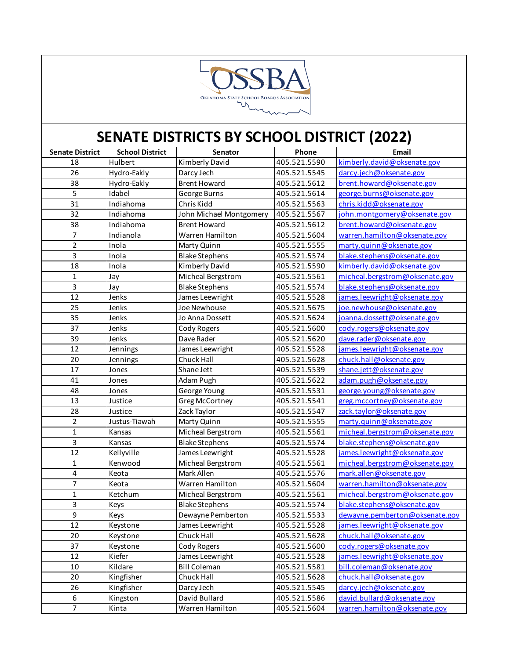

| <b>Senate District</b> | <b>School District</b> | Senator                 | Phone        | Email                          |
|------------------------|------------------------|-------------------------|--------------|--------------------------------|
| 18                     | Hulbert                | Kimberly David          | 405.521.5590 | kimberly.david@oksenate.gov    |
| 26                     | Hydro-Eakly            | Darcy Jech              | 405.521.5545 | darcy.jech@oksenate.gov        |
| 38                     | Hydro-Eakly            | <b>Brent Howard</b>     | 405.521.5612 | brent.howard@oksenate.gov      |
| 5                      | Idabel                 | George Burns            | 405.521.5614 | george.burns@oksenate.gov      |
| 31                     | Indiahoma              | Chris Kidd              | 405.521.5563 | chris.kidd@oksenate.gov        |
| 32                     | Indiahoma              | John Michael Montgomery | 405.521.5567 | john.montgomery@oksenate.gov   |
| 38                     | Indiahoma              | <b>Brent Howard</b>     | 405.521.5612 | brent.howard@oksenate.gov      |
| 7                      | Indianola              | Warren Hamilton         | 405.521.5604 | warren.hamilton@oksenate.gov   |
| $\overline{2}$         | Inola                  | Marty Quinn             | 405.521.5555 | marty.quinn@oksenate.gov       |
| 3                      | Inola                  | <b>Blake Stephens</b>   | 405.521.5574 | blake.stephens@oksenate.gov    |
| 18                     | Inola                  | Kimberly David          | 405.521.5590 | kimberly.david@oksenate.gov    |
| 1                      | Jay                    | Micheal Bergstrom       | 405.521.5561 | micheal.bergstrom@oksenate.gov |
| 3                      | Jay                    | <b>Blake Stephens</b>   | 405.521.5574 | blake.stephens@oksenate.gov    |
| 12                     | Jenks                  | James Leewright         | 405.521.5528 | james.leewright@oksenate.gov   |
| 25                     | Jenks                  | Joe Newhouse            | 405.521.5675 | joe.newhouse@oksenate.gov      |
| 35                     | Jenks                  | Jo Anna Dossett         | 405.521.5624 | joanna.dossett@oksenate.gov    |
| 37                     | Jenks                  | Cody Rogers             | 405.521.5600 | cody.rogers@oksenate.gov       |
| 39                     | Jenks                  | Dave Rader              | 405.521.5620 | dave.rader@oksenate.gov        |
| 12                     | Jennings               | James Leewright         | 405.521.5528 | james.leewright@oksenate.gov   |
| 20                     | Jennings               | Chuck Hall              | 405.521.5628 | chuck.hall@oksenate.gov        |
| 17                     | Jones                  | Shane Jett              | 405.521.5539 | shane.jett@oksenate.gov        |
| 41                     | Jones                  | Adam Pugh               | 405.521.5622 | adam.pugh@oksenate.gov         |
| 48                     | Jones                  | George Young            | 405.521.5531 | george.young@oksenate.gov      |
| 13                     | Justice                | Greg McCortney          | 405.521.5541 | greg.mccortney@oksenate.gov    |
| 28                     | Justice                | Zack Taylor             | 405.521.5547 | zack.taylor@oksenate.gov       |
| $\overline{2}$         | Justus-Tiawah          | Marty Quinn             | 405.521.5555 | marty.quinn@oksenate.gov       |
| $\mathbf{1}$           | Kansas                 | Micheal Bergstrom       | 405.521.5561 | micheal.bergstrom@oksenate.gov |
| 3                      | Kansas                 | <b>Blake Stephens</b>   | 405.521.5574 | blake.stephens@oksenate.gov    |
| 12                     | Kellyville             | James Leewright         | 405.521.5528 | james.leewright@oksenate.gov   |
| $\mathbf{1}$           | Kenwood                | Micheal Bergstrom       | 405.521.5561 | micheal.bergstrom@oksenate.gov |
| 4                      | Keota                  | Mark Allen              | 405.521.5576 | mark.allen@oksenate.gov        |
| 7                      | Keota                  | Warren Hamilton         | 405.521.5604 | warren.hamilton@oksenate.gov   |
| $\mathbf{1}$           | Ketchum                | Micheal Bergstrom       | 405.521.5561 | micheal.bergstrom@oksenate.gov |
| 3                      | Keys                   | <b>Blake Stephens</b>   | 405.521.5574 | blake.stephens@oksenate.gov    |
| $\overline{9}$         | Keys                   | Dewayne Pemberton       | 405.521.5533 | dewayne.pemberton@oksenate.gov |
| 12                     | Keystone               | James Leewright         | 405.521.5528 | james.leewright@oksenate.gov   |
| 20                     | Keystone               | Chuck Hall              | 405.521.5628 | chuck.hall@oksenate.gov        |
| 37                     | Keystone               | Cody Rogers             | 405.521.5600 | cody.rogers@oksenate.gov       |
| 12                     | Kiefer                 | James Leewright         | 405.521.5528 | james.leewright@oksenate.gov   |
| $10\,$                 | Kildare                | <b>Bill Coleman</b>     | 405.521.5581 | bill.coleman@oksenate.gov      |
| $20\,$                 | Kingfisher             | Chuck Hall              | 405.521.5628 | chuck.hall@oksenate.gov        |
| 26                     | Kingfisher             | Darcy Jech              | 405.521.5545 | darcy.jech@oksenate.gov        |
| 6                      | Kingston               | David Bullard           | 405.521.5586 | david.bullard@oksenate.gov     |
| $\overline{7}$         | Kinta                  | Warren Hamilton         | 405.521.5604 | warren.hamilton@oksenate.gov   |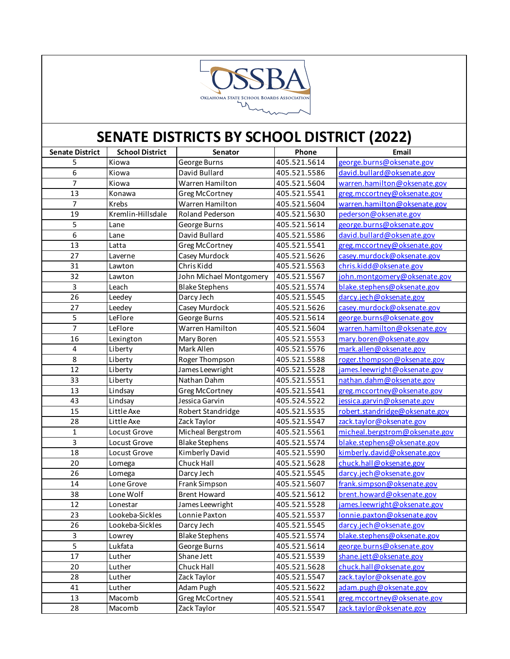

| <b>Senate District</b>  | <b>School District</b> | Senator                 | Phone        | Email                          |
|-------------------------|------------------------|-------------------------|--------------|--------------------------------|
| 5                       | Kiowa                  | George Burns            | 405.521.5614 | george.burns@oksenate.gov      |
| $\overline{6}$          | Kiowa                  | David Bullard           | 405.521.5586 | david.bullard@oksenate.gov     |
| $\overline{7}$          | Kiowa                  | Warren Hamilton         | 405.521.5604 | warren.hamilton@oksenate.gov   |
| 13                      | Konawa                 | <b>Greg McCortney</b>   | 405.521.5541 | greg.mccortney@oksenate.gov    |
| $\overline{7}$          | Krebs                  | Warren Hamilton         | 405.521.5604 | warren.hamilton@oksenate.gov   |
| 19                      | Kremlin-Hillsdale      | Roland Pederson         | 405.521.5630 | pederson@oksenate.gov          |
| $\sqrt{5}$              | Lane                   | George Burns            | 405.521.5614 | george.burns@oksenate.gov      |
| 6                       | Lane                   | David Bullard           | 405.521.5586 | david.bullard@oksenate.gov     |
| 13                      | Latta                  | <b>Greg McCortney</b>   | 405.521.5541 | greg.mccortney@oksenate.gov    |
| 27                      | Laverne                | Casey Murdock           | 405.521.5626 | casey.murdock@oksenate.gov     |
| 31                      | Lawton                 | Chris Kidd              | 405.521.5563 | chris.kidd@oksenate.gov        |
| 32                      | Lawton                 | John Michael Montgomery | 405.521.5567 | john.montgomery@oksenate.gov   |
| 3                       | Leach                  | <b>Blake Stephens</b>   | 405.521.5574 | blake.stephens@oksenate.gov    |
| 26                      | Leedey                 | Darcy Jech              | 405.521.5545 | darcy.jech@oksenate.gov        |
| 27                      | Leedey                 | Casey Murdock           | 405.521.5626 | casey.murdock@oksenate.gov     |
| 5                       | LeFlore                | George Burns            | 405.521.5614 | george.burns@oksenate.gov      |
| $\overline{7}$          | LeFlore                | Warren Hamilton         | 405.521.5604 | warren.hamilton@oksenate.gov   |
| 16                      | Lexington              | Mary Boren              | 405.521.5553 | mary.boren@oksenate.gov        |
| $\overline{\mathbf{4}}$ | Liberty                | Mark Allen              | 405.521.5576 | mark.allen@oksenate.gov        |
| 8                       | Liberty                | Roger Thompson          | 405.521.5588 | roger.thompson@oksenate.gov    |
| 12                      | Liberty                | James Leewright         | 405.521.5528 | james.leewright@oksenate.gov   |
| 33                      | Liberty                | Nathan Dahm             | 405.521.5551 | nathan.dahm@oksenate.gov       |
| 13                      | Lindsay                | Greg McCortney          | 405.521.5541 | greg.mccortney@oksenate.gov    |
| 43                      | Lindsay                | Jessica Garvin          | 405.524.5522 | jessica.garvin@oksenate.gov    |
| 15                      | Little Axe             | Robert Standridge       | 405.521.5535 | robert.standridge@oksenate.gov |
| 28                      | Little Axe             | Zack Taylor             | 405.521.5547 | zack.taylor@oksenate.gov       |
| $\mathbf 1$             | Locust Grove           | Micheal Bergstrom       | 405.521.5561 | micheal.bergstrom@oksenate.gov |
| $\overline{3}$          | Locust Grove           | <b>Blake Stephens</b>   | 405.521.5574 | blake.stephens@oksenate.gov    |
| 18                      | Locust Grove           | Kimberly David          | 405.521.5590 | kimberly.david@oksenate.gov    |
| 20                      | Lomega                 | Chuck Hall              | 405.521.5628 | chuck.hall@oksenate.gov        |
| 26                      | Lomega                 | Darcy Jech              | 405.521.5545 | darcy.jech@oksenate.gov        |
| 14                      | Lone Grove             | Frank Simpson           | 405.521.5607 | frank.simpson@oksenate.gov     |
| 38                      | Lone Wolf              | <b>Brent Howard</b>     | 405.521.5612 | brent.howard@oksenate.gov      |
| 12                      | Lonestar               | James Leewright         | 405.521.5528 | james.leewright@oksenate.gov   |
| 23                      | Lookeba-Sickles        | Lonnie Paxton           | 405.521.5537 | lonnie.paxton@oksenate.gov     |
| 26                      | Lookeba-Sickles        | Darcy Jech              | 405.521.5545 | darcy.jech@oksenate.gov        |
| 3                       | Lowrey                 | <b>Blake Stephens</b>   | 405.521.5574 | blake.stephens@oksenate.gov    |
| 5                       | Lukfata                | George Burns            | 405.521.5614 | george.burns@oksenate.gov      |
| 17                      | Luther                 | Shane Jett              | 405.521.5539 | shane.jett@oksenate.gov        |
| 20                      | Luther                 | Chuck Hall              | 405.521.5628 | chuck.hall@oksenate.gov        |
| 28                      | Luther                 | Zack Taylor             | 405.521.5547 | zack.taylor@oksenate.gov       |
| 41                      | Luther                 | Adam Pugh               | 405.521.5622 | adam.pugh@oksenate.gov         |
| 13                      | Macomb                 | Greg McCortney          | 405.521.5541 | greg.mccortney@oksenate.gov    |
| 28                      | Macomb                 | Zack Taylor             | 405.521.5547 | zack.taylor@oksenate.gov       |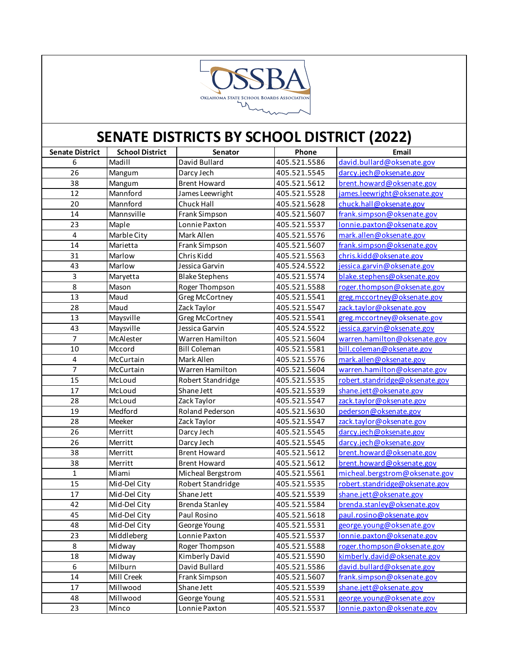

| <b>Senate District</b> | <b>School District</b> | Senator               | Phone        | Email                          |
|------------------------|------------------------|-----------------------|--------------|--------------------------------|
| 6                      | Madill                 | David Bullard         | 405.521.5586 | david.bullard@oksenate.gov     |
| 26                     | Mangum                 | Darcy Jech            | 405.521.5545 | darcy.jech@oksenate.gov        |
| 38                     | Mangum                 | <b>Brent Howard</b>   | 405.521.5612 | brent.howard@oksenate.gov      |
| 12                     | Mannford               | James Leewright       | 405.521.5528 | james.leewright@oksenate.gov   |
| 20                     | Mannford               | Chuck Hall            | 405.521.5628 | chuck.hall@oksenate.gov        |
| 14                     | Mannsville             | Frank Simpson         | 405.521.5607 | frank.simpson@oksenate.gov     |
| 23                     | Maple                  | Lonnie Paxton         | 405.521.5537 | lonnie.paxton@oksenate.gov     |
| 4                      | Marble City            | Mark Allen            | 405.521.5576 | mark.allen@oksenate.gov        |
| 14                     | Marietta               | Frank Simpson         | 405.521.5607 | frank.simpson@oksenate.gov     |
| 31                     | Marlow                 | Chris Kidd            | 405.521.5563 | chris.kidd@oksenate.gov        |
| 43                     | Marlow                 | Jessica Garvin        | 405.524.5522 | jessica.garvin@oksenate.gov    |
| 3                      | Maryetta               | <b>Blake Stephens</b> | 405.521.5574 | blake.stephens@oksenate.gov    |
| $\overline{8}$         | Mason                  | Roger Thompson        | 405.521.5588 | roger.thompson@oksenate.gov    |
| 13                     | Maud                   | <b>Greg McCortney</b> | 405.521.5541 | greg.mccortney@oksenate.gov    |
| 28                     | Maud                   | Zack Taylor           | 405.521.5547 | zack.taylor@oksenate.gov       |
| 13                     | Maysville              | Greg McCortney        | 405.521.5541 | greg.mccortney@oksenate.gov    |
| 43                     | Maysville              | Jessica Garvin        | 405.524.5522 | jessica.garvin@oksenate.gov    |
| 7                      | McAlester              | Warren Hamilton       | 405.521.5604 | warren.hamilton@oksenate.gov   |
| 10                     | Mccord                 | <b>Bill Coleman</b>   | 405.521.5581 | bill.coleman@oksenate.gov      |
| 4                      | McCurtain              | Mark Allen            | 405.521.5576 | mark.allen@oksenate.gov        |
| 7                      | McCurtain              | Warren Hamilton       | 405.521.5604 | warren.hamilton@oksenate.gov   |
| 15                     | McLoud                 | Robert Standridge     | 405.521.5535 | robert.standridge@oksenate.gov |
| 17                     | McLoud                 | Shane Jett            | 405.521.5539 | shane.jett@oksenate.gov        |
| 28                     | McLoud                 | Zack Taylor           | 405.521.5547 | zack.taylor@oksenate.gov       |
| 19                     | Medford                | Roland Pederson       | 405.521.5630 | pederson@oksenate.gov          |
| 28                     | Meeker                 | Zack Taylor           | 405.521.5547 | zack.taylor@oksenate.gov       |
| 26                     | Merritt                | Darcy Jech            | 405.521.5545 | darcy.jech@oksenate.gov        |
| 26                     | Merritt                | Darcy Jech            | 405.521.5545 | darcy.jech@oksenate.gov        |
| 38                     | Merritt                | <b>Brent Howard</b>   | 405.521.5612 | brent.howard@oksenate.gov      |
| 38                     | Merritt                | <b>Brent Howard</b>   | 405.521.5612 | brent.howard@oksenate.gov      |
| 1                      | Miami                  | Micheal Bergstrom     | 405.521.5561 | micheal.bergstrom@oksenate.gov |
| 15                     | Mid-Del City           | Robert Standridge     | 405.521.5535 | robert.standridge@oksenate.gov |
| 17                     | Mid-Del City           | Shane Jett            | 405.521.5539 | shane.jett@oksenate.gov        |
| 42                     | Mid-Del City           | <b>Brenda Stanley</b> | 405.521.5584 | brenda.stanley@oksenate.gov    |
| 45                     | Mid-Del City           | Paul Rosino           | 405.521.5618 | paul.rosino@oksenate.gov       |
| 48                     | Mid-Del City           | George Young          | 405.521.5531 | george.young@oksenate.gov      |
| 23                     | Middleberg             | Lonnie Paxton         | 405.521.5537 | lonnie.paxton@oksenate.gov     |
| 8                      | Midway                 | Roger Thompson        | 405.521.5588 | roger.thompson@oksenate.gov    |
| 18                     | Midway                 | Kimberly David        | 405.521.5590 | kimberly.david@oksenate.gov    |
| 6                      | Milburn                | David Bullard         | 405.521.5586 | david.bullard@oksenate.gov     |
| 14                     | Mill Creek             | Frank Simpson         | 405.521.5607 | frank.simpson@oksenate.gov     |
| 17                     | Millwood               | Shane Jett            | 405.521.5539 | shane.jett@oksenate.gov        |
| 48                     | Millwood               | George Young          | 405.521.5531 | george.young@oksenate.gov      |
| 23                     | Minco                  | Lonnie Paxton         | 405.521.5537 | lonnie.paxton@oksenate.gov     |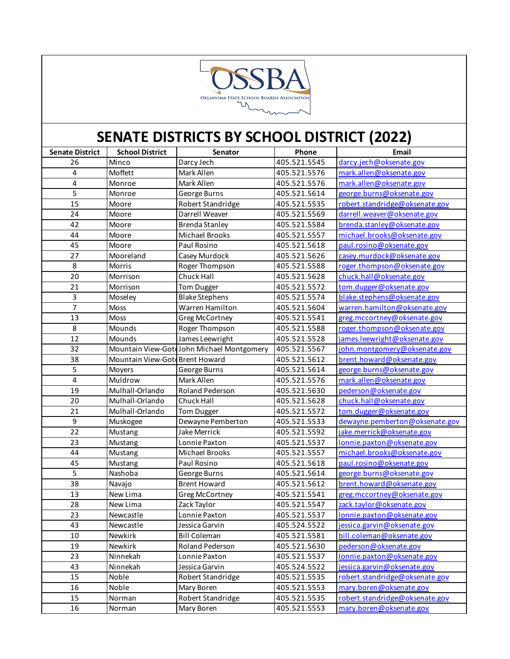

| <b>Senate District</b>  | <b>School District</b>          | Senator                                    | Phone        | Email                          |
|-------------------------|---------------------------------|--------------------------------------------|--------------|--------------------------------|
| 26                      | Minco                           | Darcy Jech                                 | 405.521.5545 | darcy.jech@oksenate.gov        |
| 4                       | Moffett                         | Mark Allen                                 | 405.521.5576 | mark.allen@oksenate.gov        |
| 4                       | Monroe                          | Mark Allen                                 | 405.521.5576 | mark.allen@oksenate.gov        |
| 5                       | Monroe                          | George Burns                               | 405.521.5614 | george.burns@oksenate.gov      |
| $\overline{15}$         | Moore                           | Robert Standridge                          | 405.521.5535 | robert.standridge@oksenate.gov |
| 24                      | Moore                           | Darrell Weaver                             | 405.521.5569 | darrell.weaver@oksenate.gov    |
| 42                      | Moore                           | <b>Brenda Stanley</b>                      | 405.521.5584 | brenda.stanley@oksenate.gov    |
| 44                      | Moore                           | <b>Michael Brooks</b>                      | 405.521.5557 | michael.brooks@oksenate.gov    |
| 45                      | Moore                           | Paul Rosino                                | 405.521.5618 | paul.rosino@oksenate.gov       |
| 27                      | Mooreland                       | Casey Murdock                              | 405.521.5626 | casey.murdock@oksenate.gov     |
| 8                       | Morris                          | Roger Thompson                             | 405.521.5588 | roger.thompson@oksenate.gov    |
| 20                      | Morrison                        | Chuck Hall                                 | 405.521.5628 | chuck.hall@oksenate.gov        |
| 21                      | Morrison                        | Tom Dugger                                 | 405.521.5572 | tom.dugger@oksenate.gov        |
| 3                       | Moseley                         | <b>Blake Stephens</b>                      | 405.521.5574 | blake.stephens@oksenate.gov    |
| $\overline{7}$          | Moss                            | Warren Hamilton                            | 405.521.5604 | warren.hamilton@oksenate.gov   |
| 13                      | Moss                            | Greg McCortney                             | 405.521.5541 | greg.mccortney@oksenate.gov    |
| 8                       | Mounds                          | Roger Thompson                             | 405.521.5588 | roger.thompson@oksenate.gov    |
| $\overline{12}$         | Mounds                          | James Leewright                            | 405.521.5528 | james.leewright@oksenate.gov   |
| 32                      |                                 | Mountain View-Gote John Michael Montgomery | 405.521.5567 | john.montgomery@oksenate.gov   |
| 38                      | Mountain View-Gote Brent Howard |                                            | 405.521.5612 | brent.howard@oksenate.gov      |
| 5                       | Moyers                          | George Burns                               | 405.521.5614 | george.burns@oksenate.gov      |
| $\overline{\mathbf{4}}$ | Muldrow                         | Mark Allen                                 | 405.521.5576 | mark.allen@oksenate.gov        |
| 19                      | Mulhall-Orlando                 | Roland Pederson                            | 405.521.5630 | pederson@oksenate.gov          |
| 20                      | Mulhall-Orlando                 | Chuck Hall                                 | 405.521.5628 | chuck.hall@oksenate.gov        |
| 21                      | Mulhall-Orlando                 | Tom Dugger                                 | 405.521.5572 | tom.dugger@oksenate.gov        |
| $\boldsymbol{9}$        | Muskogee                        | Dewayne Pemberton                          | 405.521.5533 | dewayne.pemberton@oksenate.gov |
| 22                      | Mustang                         | Jake Merrick                               | 405.521.5592 | jake.merrick@oksenate.gov      |
| 23                      | Mustang                         | Lonnie Paxton                              | 405.521.5537 | lonnie.paxton@oksenate.gov     |
| 44                      | Mustang                         | Michael Brooks                             | 405.521.5557 | michael.brooks@oksenate.gov    |
| 45                      | Mustang                         | Paul Rosino                                | 405.521.5618 | paul.rosino@oksenate.gov       |
| 5                       | Nashoba                         | George Burns                               | 405.521.5614 | george.burns@oksenate.gov      |
| 38                      | Navajo                          | <b>Brent Howard</b>                        | 405.521.5612 | brent.howard@oksenate.gov      |
| 13                      | New Lima                        | Greg McCortney                             | 405.521.5541 | greg.mccortney@oksenate.gov    |
| 28                      | New Lima                        | Zack Taylor                                | 405.521.5547 | zack.taylor@oksenate.gov       |
| 23                      | Newcastle                       | Lonnie Paxton                              | 405.521.5537 | lonnie.paxton@oksenate.gov     |
| 43                      | Newcastle                       | Jessica Garvin                             | 405.524.5522 | jessica.garvin@oksenate.gov    |
| 10                      | Newkirk                         | <b>Bill Coleman</b>                        | 405.521.5581 | bill.coleman@oksenate.gov      |
| 19                      | Newkirk                         | Roland Pederson                            | 405.521.5630 | pederson@oksenate.gov          |
| 23                      | Ninnekah                        | Lonnie Paxton                              | 405.521.5537 | lonnie.paxton@oksenate.gov     |
| 43                      | Ninnekah                        | Jessica Garvin                             | 405.524.5522 | jessica.garvin@oksenate.gov    |
| 15                      | Noble                           | Robert Standridge                          | 405.521.5535 | robert.standridge@oksenate.gov |
| 16                      | Noble                           | Mary Boren                                 | 405.521.5553 | mary.boren@oksenate.gov        |
| 15                      | Norman                          | Robert Standridge                          | 405.521.5535 | robert.standridge@oksenate.gov |
| 16                      | Norman                          | Mary Boren                                 | 405.521.5553 | mary.boren@oksenate.gov        |
|                         |                                 |                                            |              |                                |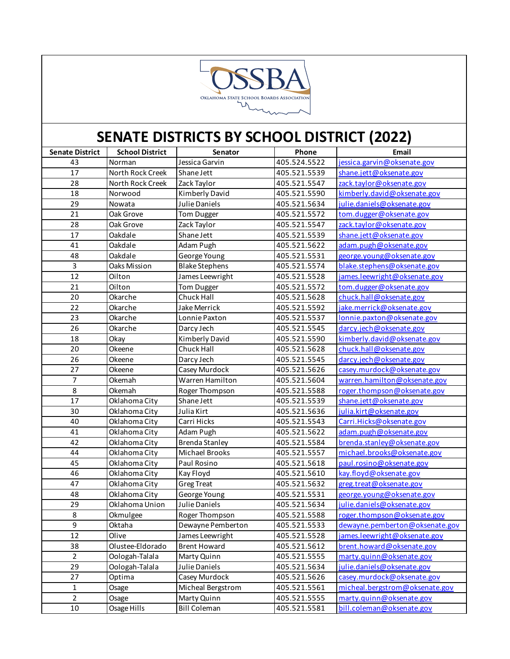

| <b>Senate District</b> | <b>School District</b> | Senator               | Phone        | Email                          |
|------------------------|------------------------|-----------------------|--------------|--------------------------------|
| 43                     | Norman                 | Jessica Garvin        | 405.524.5522 | jessica.garvin@oksenate.gov    |
| 17                     | North Rock Creek       | Shane Jett            | 405.521.5539 | shane.jett@oksenate.gov        |
| 28                     | North Rock Creek       | Zack Taylor           | 405.521.5547 | zack.taylor@oksenate.gov       |
| 18                     | Norwood                | Kimberly David        | 405.521.5590 | kimberly.david@oksenate.gov    |
| 29                     | Nowata                 | Julie Daniels         | 405.521.5634 | julie.daniels@oksenate.gov     |
| 21                     | Oak Grove              | Tom Dugger            | 405.521.5572 | tom.dugger@oksenate.gov        |
| 28                     | Oak Grove              | Zack Taylor           | 405.521.5547 | zack.taylor@oksenate.gov       |
| 17                     | Oakdale                | Shane Jett            | 405.521.5539 | shane.jett@oksenate.gov        |
| 41                     | Oakdale                | Adam Pugh             | 405.521.5622 | adam.pugh@oksenate.gov         |
| 48                     | Oakdale                | George Young          | 405.521.5531 | george.young@oksenate.gov      |
| $\mathsf{3}$           | Oaks Mission           | <b>Blake Stephens</b> | 405.521.5574 | blake.stephens@oksenate.gov    |
| 12                     | Oilton                 | James Leewright       | 405.521.5528 | james.leewright@oksenate.gov   |
| 21                     | Oilton                 | Tom Dugger            | 405.521.5572 | tom.dugger@oksenate.gov        |
| 20                     | Okarche                | Chuck Hall            | 405.521.5628 | chuck.hall@oksenate.gov        |
| 22                     | Okarche                | Jake Merrick          | 405.521.5592 | jake.merrick@oksenate.gov      |
| 23                     | Okarche                | Lonnie Paxton         | 405.521.5537 | lonnie.paxton@oksenate.gov     |
| 26                     | Okarche                | Darcy Jech            | 405.521.5545 | darcy.jech@oksenate.gov        |
| 18                     | Okay                   | Kimberly David        | 405.521.5590 | kimberly.david@oksenate.gov    |
| 20                     | Okeene                 | Chuck Hall            | 405.521.5628 | chuck.hall@oksenate.gov        |
| 26                     | Okeene                 | Darcy Jech            | 405.521.5545 | darcy.jech@oksenate.gov        |
| 27                     | Okeene                 | Casey Murdock         | 405.521.5626 | casey.murdock@oksenate.gov     |
| 7                      | Okemah                 | Warren Hamilton       | 405.521.5604 | warren.hamilton@oksenate.gov   |
| 8                      | Okemah                 | Roger Thompson        | 405.521.5588 | roger.thompson@oksenate.gov    |
| 17                     | Oklahoma City          | Shane Jett            | 405.521.5539 | shane.jett@oksenate.gov        |
| 30                     | Oklahoma City          | Julia Kirt            | 405.521.5636 | julia.kirt@oksenate.gov        |
| 40                     | Oklahoma City          | Carri Hicks           | 405.521.5543 | Carri.Hicks@oksenate.gov       |
| 41                     | Oklahoma City          | Adam Pugh             | 405.521.5622 | adam.pugh@oksenate.gov         |
| 42                     | Oklahoma City          | <b>Brenda Stanley</b> | 405.521.5584 | brenda.stanley@oksenate.gov    |
| 44                     | Oklahoma City          | <b>Michael Brooks</b> | 405.521.5557 | michael.brooks@oksenate.gov    |
| 45                     | Oklahoma City          | Paul Rosino           | 405.521.5618 | paul.rosino@oksenate.gov       |
| 46                     | Oklahoma City          | Kay Floyd             | 405.521.5610 | kay.floyd@oksenate.gov         |
| 47                     | Oklahoma City          | <b>Greg Treat</b>     | 405.521.5632 | greg.treat@oksenate.gov        |
| 48                     | Oklahoma City          | George Young          | 405.521.5531 | george.young@oksenate.gov      |
| 29                     | Oklahoma Union         | Julie Daniels         | 405.521.5634 | julie.daniels@oksenate.gov     |
| 8                      | Okmulgee               | Roger Thompson        | 405.521.5588 | roger.thompson@oksenate.gov    |
| 9                      | Oktaha                 | Dewayne Pemberton     | 405.521.5533 | dewayne.pemberton@oksenate.gov |
| 12                     | Olive                  | James Leewright       | 405.521.5528 | james.leewright@oksenate.gov   |
| 38                     | Olustee-Eldorado       | <b>Brent Howard</b>   | 405.521.5612 | brent.howard@oksenate.gov      |
| $\overline{a}$         | Oologah-Talala         | Marty Quinn           | 405.521.5555 | marty.quinn@oksenate.gov       |
| 29                     | Oologah-Talala         | Julie Daniels         | 405.521.5634 | julie.daniels@oksenate.gov     |
| 27                     | Optima                 | Casey Murdock         | 405.521.5626 | casey.murdock@oksenate.gov     |
| $\mathbf{1}$           | Osage                  | Micheal Bergstrom     | 405.521.5561 | micheal.bergstrom@oksenate.gov |
| $\overline{2}$         | Osage                  | Marty Quinn           | 405.521.5555 | marty.quinn@oksenate.gov       |
| 10                     | Osage Hills            | <b>Bill Coleman</b>   | 405.521.5581 | bill.coleman@oksenate.gov      |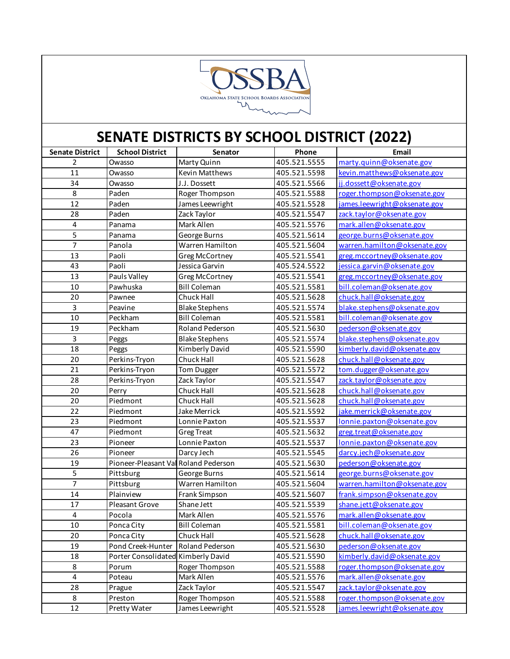

| <b>Senate District</b> | <b>School District</b>               | Senator                | Phone        | Email                        |
|------------------------|--------------------------------------|------------------------|--------------|------------------------------|
| $\overline{2}$         | Owasso                               | Marty Quinn            | 405.521.5555 | marty.quinn@oksenate.gov     |
| 11                     | Owasso                               | Kevin Matthews         | 405.521.5598 | kevin.matthews@oksenate.gov  |
| 34                     | Owasso                               | J.J. Dossett           | 405.521.5566 | jj.dossett@oksenate.gov      |
| 8                      | Paden                                | Roger Thompson         | 405.521.5588 | roger.thompson@oksenate.gov  |
| $\overline{12}$        | Paden                                | James Leewright        | 405.521.5528 | james.leewright@oksenate.gov |
| 28                     | Paden                                | Zack Taylor            | 405.521.5547 | zack.taylor@oksenate.gov     |
| $\pmb{4}$              | Panama                               | Mark Allen             | 405.521.5576 | mark.allen@oksenate.gov      |
| 5                      | Panama                               | George Burns           | 405.521.5614 | george.burns@oksenate.gov    |
| $\overline{7}$         | Panola                               | Warren Hamilton        | 405.521.5604 | warren.hamilton@oksenate.gov |
| 13                     | Paoli                                | Greg McCortney         | 405.521.5541 | greg.mccortney@oksenate.gov  |
| 43                     | Paoli                                | Jessica Garvin         | 405.524.5522 | jessica.garvin@oksenate.gov  |
| 13                     | Pauls Valley                         | Greg McCortney         | 405.521.5541 | greg.mccortney@oksenate.gov  |
| 10                     | Pawhuska                             | <b>Bill Coleman</b>    | 405.521.5581 | bill.coleman@oksenate.gov    |
| 20                     | Pawnee                               | Chuck Hall             | 405.521.5628 | chuck.hall@oksenate.gov      |
| 3                      | Peavine                              | <b>Blake Stephens</b>  | 405.521.5574 | blake.stephens@oksenate.gov  |
| 10                     | Peckham                              | <b>Bill Coleman</b>    | 405.521.5581 | bill.coleman@oksenate.gov    |
| 19                     | Peckham                              | Roland Pederson        | 405.521.5630 | pederson@oksenate.gov        |
| 3                      | Peggs                                | <b>Blake Stephens</b>  | 405.521.5574 | blake.stephens@oksenate.gov  |
| 18                     | Peggs                                | Kimberly David         | 405.521.5590 | kimberly.david@oksenate.gov  |
| 20                     | Perkins-Tryon                        | Chuck Hall             | 405.521.5628 | chuck.hall@oksenate.gov      |
| 21                     | Perkins-Tryon                        | Tom Dugger             | 405.521.5572 | tom.dugger@oksenate.gov      |
| 28                     | Perkins-Tryon                        | Zack Taylor            | 405.521.5547 | zack.taylor@oksenate.gov     |
| 20                     | Perry                                | Chuck Hall             | 405.521.5628 | chuck.hall@oksenate.gov      |
| 20                     | Piedmont                             | Chuck Hall             | 405.521.5628 | chuck.hall@oksenate.gov      |
| 22                     | Piedmont                             | Jake Merrick           | 405.521.5592 | jake.merrick@oksenate.gov    |
| 23                     | Piedmont                             | Lonnie Paxton          | 405.521.5537 | lonnie.paxton@oksenate.gov   |
| 47                     | Piedmont                             | <b>Greg Treat</b>      | 405.521.5632 | greg.treat@oksenate.gov      |
| 23                     | Pioneer                              | Lonnie Paxton          | 405.521.5537 | lonnie.paxton@oksenate.gov   |
| 26                     | Pioneer                              | Darcy Jech             | 405.521.5545 | darcy.jech@oksenate.gov      |
| 19                     | Pioneer-Pleasant Val Roland Pederson |                        | 405.521.5630 | pederson@oksenate.gov        |
| 5                      | Pittsburg                            | George Burns           | 405.521.5614 | george.burns@oksenate.gov    |
| 7                      | Pittsburg                            | Warren Hamilton        | 405.521.5604 | warren.hamilton@oksenate.gov |
| 14                     | Plainview                            | Frank Simpson          | 405.521.5607 | frank.simpson@oksenate.gov   |
| 17                     | Pleasant Grove                       | Shane Jett             | 405.521.5539 | shane.jett@oksenate.gov      |
| 4                      | Pocola                               | Mark Allen             | 405.521.5576 | mark.allen@oksenate.gov      |
| 10                     | Ponca City                           | <b>Bill Coleman</b>    | 405.521.5581 | bill.coleman@oksenate.gov    |
| 20                     | Ponca City                           | Chuck Hall             | 405.521.5628 | chuck.hall@oksenate.gov      |
| 19                     | Pond Creek-Hunter                    | <b>Roland Pederson</b> | 405.521.5630 | pederson@oksenate.gov        |
| 18                     | Porter Consolidated Kimberly David   |                        | 405.521.5590 | kimberly.david@oksenate.gov  |
| 8                      | Porum                                | Roger Thompson         | 405.521.5588 | roger.thompson@oksenate.gov  |
| 4                      | Poteau                               | Mark Allen             | 405.521.5576 | mark.allen@oksenate.gov      |
| 28                     | Prague                               | Zack Taylor            | 405.521.5547 | zack.taylor@oksenate.gov     |
| 8                      | Preston                              | Roger Thompson         | 405.521.5588 | roger.thompson@oksenate.gov  |
| 12                     | Pretty Water                         | James Leewright        | 405.521.5528 | james.leewright@oksenate.gov |
|                        |                                      |                        |              |                              |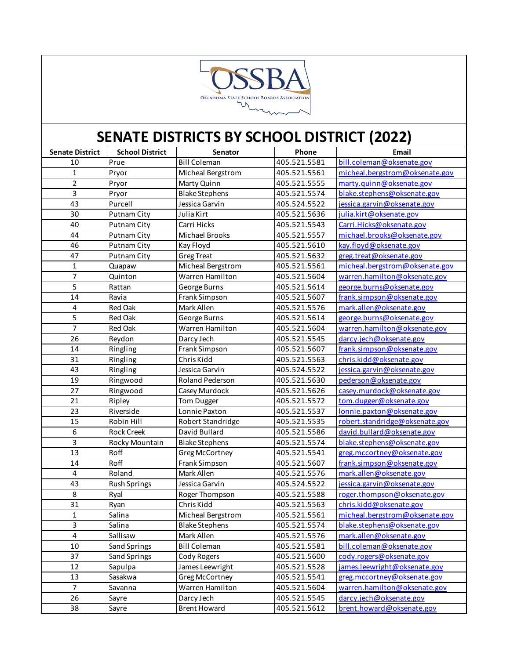

| <b>Senate District</b>  | <b>School District</b> | Senator               | Phone        | Email                          |
|-------------------------|------------------------|-----------------------|--------------|--------------------------------|
| 10                      | Prue                   | <b>Bill Coleman</b>   | 405.521.5581 | bill.coleman@oksenate.gov      |
| $\mathbf{1}$            | Pryor                  | Micheal Bergstrom     | 405.521.5561 | micheal.bergstrom@oksenate.gov |
| $\overline{2}$          | Pryor                  | Marty Quinn           | 405.521.5555 | marty.quinn@oksenate.gov       |
| 3                       | Pryor                  | <b>Blake Stephens</b> | 405.521.5574 | blake.stephens@oksenate.gov    |
| 43                      | Purcell                | Jessica Garvin        | 405.524.5522 | jessica.garvin@oksenate.gov    |
| 30                      | <b>Putnam City</b>     | Julia Kirt            | 405.521.5636 | julia.kirt@oksenate.gov        |
| 40                      | Putnam City            | Carri Hicks           | 405.521.5543 | Carri.Hicks@oksenate.gov       |
| 44                      | Putnam City            | <b>Michael Brooks</b> | 405.521.5557 | michael.brooks@oksenate.gov    |
| 46                      | Putnam City            | Kay Floyd             | 405.521.5610 | kay.floyd@oksenate.gov         |
| 47                      | Putnam City            | <b>Greg Treat</b>     | 405.521.5632 | greg.treat@oksenate.gov        |
| $\mathbf 1$             | Quapaw                 | Micheal Bergstrom     | 405.521.5561 | micheal.bergstrom@oksenate.gov |
| 7                       | Quinton                | Warren Hamilton       | 405.521.5604 | warren.hamilton@oksenate.gov   |
| 5                       | Rattan                 | George Burns          | 405.521.5614 | george.burns@oksenate.gov      |
| 14                      | Ravia                  | Frank Simpson         | 405.521.5607 | frank.simpson@oksenate.gov     |
| 4                       | Red Oak                | Mark Allen            | 405.521.5576 | mark.allen@oksenate.gov        |
| 5                       | Red Oak                | George Burns          | 405.521.5614 | george.burns@oksenate.gov      |
| $\overline{7}$          | Red Oak                | Warren Hamilton       | 405.521.5604 | warren.hamilton@oksenate.gov   |
| 26                      | Reydon                 | Darcy Jech            | 405.521.5545 | darcy.jech@oksenate.gov        |
| 14                      | Ringling               | Frank Simpson         | 405.521.5607 | frank.simpson@oksenate.gov     |
| 31                      | Ringling               | Chris Kidd            | 405.521.5563 | chris.kidd@oksenate.gov        |
| 43                      | Ringling               | Jessica Garvin        | 405.524.5522 | jessica.garvin@oksenate.gov    |
| 19                      | Ringwood               | Roland Pederson       | 405.521.5630 | pederson@oksenate.gov          |
| 27                      | Ringwood               | Casey Murdock         | 405.521.5626 | casey.murdock@oksenate.gov     |
| 21                      | Ripley                 | Tom Dugger            | 405.521.5572 | tom.dugger@oksenate.gov        |
| 23                      | Riverside              | Lonnie Paxton         | 405.521.5537 | lonnie.paxton@oksenate.gov     |
| 15                      | Robin Hill             | Robert Standridge     | 405.521.5535 | robert.standridge@oksenate.gov |
| 6                       | <b>Rock Creek</b>      | David Bullard         | 405.521.5586 | david.bullard@oksenate.gov     |
| 3                       | Rocky Mountain         | <b>Blake Stephens</b> | 405.521.5574 | blake.stephens@oksenate.gov    |
| 13                      | Roff                   | <b>Greg McCortney</b> | 405.521.5541 | greg.mccortney@oksenate.gov    |
| 14                      | Roff                   | Frank Simpson         | 405.521.5607 | frank.simpson@oksenate.gov     |
| $\overline{\mathbf{4}}$ | Roland                 | Mark Allen            | 405.521.5576 | mark.allen@oksenate.gov        |
| 43                      | <b>Rush Springs</b>    | Jessica Garvin        | 405.524.5522 | jessica.garvin@oksenate.gov    |
| 8                       | Ryal                   | Roger Thompson        | 405.521.5588 | roger.thompson@oksenate.gov    |
| 31                      | Ryan                   | Chris Kidd            | 405.521.5563 | chris.kidd@oksenate.gov        |
| $\mathbf 1$             | Salina                 | Micheal Bergstrom     | 405.521.5561 | micheal.bergstrom@oksenate.gov |
| 3                       | Salina                 | <b>Blake Stephens</b> | 405.521.5574 | blake.stephens@oksenate.gov    |
| 4                       | Sallisaw               | Mark Allen            | 405.521.5576 | mark.allen@oksenate.gov        |
| $10\,$                  | Sand Springs           | <b>Bill Coleman</b>   | 405.521.5581 | bill.coleman@oksenate.gov      |
| 37                      | Sand Springs           | Cody Rogers           | 405.521.5600 | cody.rogers@oksenate.gov       |
| 12                      | Sapulpa                | James Leewright       | 405.521.5528 | james.leewright@oksenate.gov   |
| 13                      | Sasakwa                | <b>Greg McCortney</b> | 405.521.5541 | greg.mccortney@oksenate.gov    |
| $\overline{7}$          | Savanna                | Warren Hamilton       | 405.521.5604 | warren.hamilton@oksenate.gov   |
| 26                      | Sayre                  | Darcy Jech            | 405.521.5545 | darcy.jech@oksenate.gov        |
| 38                      | Sayre                  | <b>Brent Howard</b>   | 405.521.5612 | brent.howard@oksenate.gov      |
|                         |                        |                       |              |                                |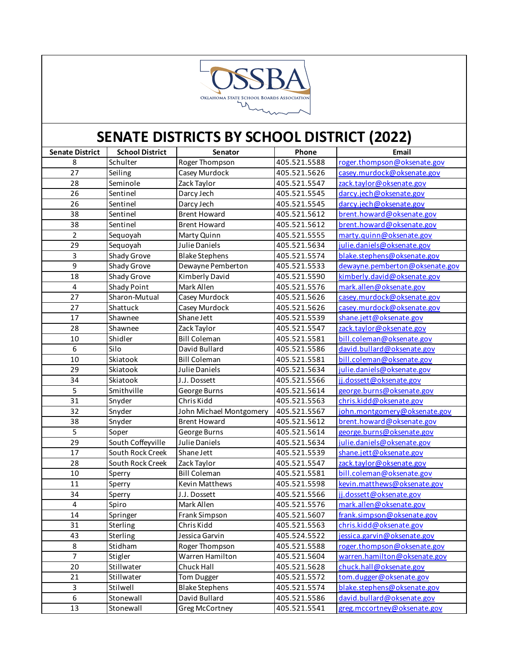

| <b>Senate District</b> | <b>School District</b> | Senator                 | Phone        | Email                          |
|------------------------|------------------------|-------------------------|--------------|--------------------------------|
| 8                      | Schulter               | Roger Thompson          | 405.521.5588 | roger.thompson@oksenate.gov    |
| 27                     | Seiling                | Casey Murdock           | 405.521.5626 | casey.murdock@oksenate.gov     |
| 28                     | Seminole               | Zack Taylor             | 405.521.5547 | zack.taylor@oksenate.gov       |
| 26                     | Sentinel               | Darcy Jech              | 405.521.5545 | darcy.jech@oksenate.gov        |
| 26                     | Sentinel               | Darcy Jech              | 405.521.5545 | darcy.jech@oksenate.gov        |
| 38                     | Sentinel               | <b>Brent Howard</b>     | 405.521.5612 | brent.howard@oksenate.gov      |
| 38                     | Sentinel               | <b>Brent Howard</b>     | 405.521.5612 | brent.howard@oksenate.gov      |
| $\overline{c}$         | Sequoyah               | Marty Quinn             | 405.521.5555 | marty.quinn@oksenate.gov       |
| 29                     | Sequoyah               | Julie Daniels           | 405.521.5634 | julie.daniels@oksenate.gov     |
| 3                      | Shady Grove            | <b>Blake Stephens</b>   | 405.521.5574 | blake.stephens@oksenate.gov    |
| 9                      | Shady Grove            | Dewayne Pemberton       | 405.521.5533 | dewayne.pemberton@oksenate.gov |
| 18                     | Shady Grove            | Kimberly David          | 405.521.5590 | kimberly.david@oksenate.gov    |
| 4                      | Shady Point            | Mark Allen              | 405.521.5576 | mark.allen@oksenate.gov        |
| 27                     | Sharon-Mutual          | Casey Murdock           | 405.521.5626 | casey.murdock@oksenate.gov     |
| 27                     | Shattuck               | Casey Murdock           | 405.521.5626 | casey.murdock@oksenate.gov     |
| 17                     | Shawnee                | Shane Jett              | 405.521.5539 | shane.jett@oksenate.gov        |
| 28                     | Shawnee                | Zack Taylor             | 405.521.5547 | zack.taylor@oksenate.gov       |
| 10                     | Shidler                | <b>Bill Coleman</b>     | 405.521.5581 | bill.coleman@oksenate.gov      |
| 6                      | Silo                   | David Bullard           | 405.521.5586 | david.bullard@oksenate.gov     |
| $10\,$                 | Skiatook               | <b>Bill Coleman</b>     | 405.521.5581 | bill.coleman@oksenate.gov      |
| 29                     | Skiatook               | Julie Daniels           | 405.521.5634 | julie.daniels@oksenate.gov     |
| 34                     | Skiatook               | J.J. Dossett            | 405.521.5566 | jj.dossett@oksenate.gov        |
| 5                      | Smithville             | George Burns            | 405.521.5614 | george.burns@oksenate.gov      |
| 31                     | Snyder                 | Chris Kidd              | 405.521.5563 | chris.kidd@oksenate.gov        |
| 32                     | Snyder                 | John Michael Montgomery | 405.521.5567 | john.montgomery@oksenate.gov   |
| 38                     | Snyder                 | <b>Brent Howard</b>     | 405.521.5612 | brent.howard@oksenate.gov      |
| 5                      | Soper                  | George Burns            | 405.521.5614 | george.burns@oksenate.gov      |
| 29                     | South Coffeyville      | Julie Daniels           | 405.521.5634 | julie.daniels@oksenate.gov     |
| 17                     | South Rock Creek       | Shane Jett              | 405.521.5539 | shane.jett@oksenate.gov        |
| 28                     | South Rock Creek       | Zack Taylor             | 405.521.5547 | zack.taylor@oksenate.gov       |
| 10                     | Sperry                 | <b>Bill Coleman</b>     | 405.521.5581 | bill.coleman@oksenate.gov      |
| 11                     | Sperry                 | Kevin Matthews          | 405.521.5598 | kevin.matthews@oksenate.gov    |
| 34                     | Sperry                 | J.J. Dossett            | 405.521.5566 | ji.dossett@oksenate.gov        |
| 4                      | Spiro                  | Mark Allen              | 405.521.5576 | mark.allen@oksenate.gov        |
| 14                     | Springer               | Frank Simpson           | 405.521.5607 | frank.simpson@oksenate.gov     |
| 31                     | Sterling               | Chris Kidd              | 405.521.5563 | chris.kidd@oksenate.gov        |
| 43                     | Sterling               | Jessica Garvin          | 405.524.5522 | jessica.garvin@oksenate.gov    |
| 8                      | Stidham                | Roger Thompson          | 405.521.5588 | roger.thompson@oksenate.gov    |
| $\overline{7}$         | Stigler                | Warren Hamilton         | 405.521.5604 | warren.hamilton@oksenate.gov   |
| 20                     | Stillwater             | Chuck Hall              | 405.521.5628 | chuck.hall@oksenate.gov        |
| 21                     | Stillwater             | <b>Tom Dugger</b>       | 405.521.5572 | tom.dugger@oksenate.gov        |
| 3                      | Stilwell               | <b>Blake Stephens</b>   | 405.521.5574 | blake.stephens@oksenate.gov    |
| 6                      | Stonewall              | David Bullard           | 405.521.5586 | david.bullard@oksenate.gov     |
| 13                     | Stonewall              | <b>Greg McCortney</b>   | 405.521.5541 | greg.mccortney@oksenate.gov    |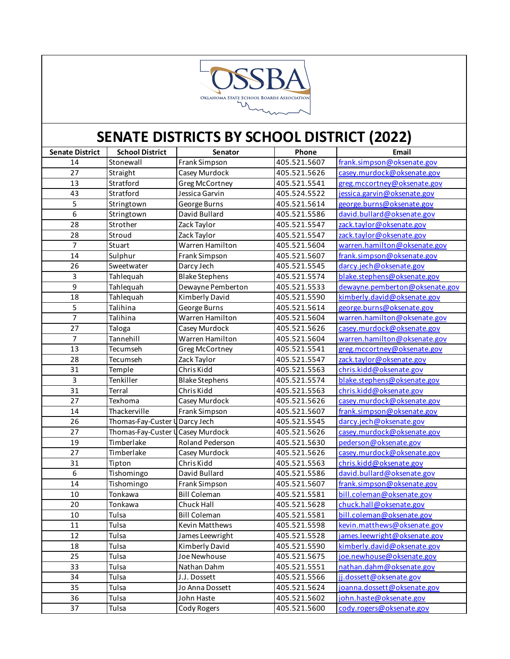

| <b>Senate District</b> | <b>School District</b>            | Senator               | Phone        | Email                          |
|------------------------|-----------------------------------|-----------------------|--------------|--------------------------------|
| 14                     | Stonewall                         | Frank Simpson         | 405.521.5607 | frank.simpson@oksenate.gov     |
| 27                     | Straight                          | Casey Murdock         | 405.521.5626 | casey.murdock@oksenate.gov     |
| 13                     | Stratford                         | <b>Greg McCortney</b> | 405.521.5541 | greg.mccortney@oksenate.gov    |
| 43                     | Stratford                         | Jessica Garvin        | 405.524.5522 | jessica.garvin@oksenate.gov    |
| 5                      | Stringtown                        | George Burns          | 405.521.5614 | george.burns@oksenate.gov      |
| $\overline{6}$         | Stringtown                        | David Bullard         | 405.521.5586 | david.bullard@oksenate.gov     |
| 28                     | Strother                          | Zack Taylor           | 405.521.5547 | zack.taylor@oksenate.gov       |
| 28                     | Stroud                            | Zack Taylor           | 405.521.5547 | zack.taylor@oksenate.gov       |
| $\overline{7}$         | Stuart                            | Warren Hamilton       | 405.521.5604 | warren.hamilton@oksenate.gov   |
| 14                     | Sulphur                           | Frank Simpson         | 405.521.5607 | frank.simpson@oksenate.gov     |
| 26                     | Sweetwater                        | Darcy Jech            | 405.521.5545 | darcy.jech@oksenate.gov        |
| 3                      | Tahlequah                         | <b>Blake Stephens</b> | 405.521.5574 | blake.stephens@oksenate.gov    |
| 9                      | Tahlequah                         | Dewayne Pemberton     | 405.521.5533 | dewayne.pemberton@oksenate.gov |
| 18                     | Tahlequah                         | Kimberly David        | 405.521.5590 | kimberly.david@oksenate.gov    |
| 5                      | Talihina                          | George Burns          | 405.521.5614 | george.burns@oksenate.gov      |
| $\overline{7}$         | Talihina                          | Warren Hamilton       | 405.521.5604 | warren.hamilton@oksenate.gov   |
| 27                     | Taloga                            | Casey Murdock         | 405.521.5626 | casey.murdock@oksenate.gov     |
| 7                      | Tannehill                         | Warren Hamilton       | 405.521.5604 | warren.hamilton@oksenate.gov   |
| 13                     | Tecumseh                          | <b>Greg McCortney</b> | 405.521.5541 | greg.mccortney@oksenate.gov    |
| 28                     | Tecumseh                          | Zack Taylor           | 405.521.5547 | zack.taylor@oksenate.gov       |
| 31                     | Temple                            | Chris Kidd            | 405.521.5563 | chris.kidd@oksenate.gov        |
| $\overline{3}$         | Tenkiller                         | <b>Blake Stephens</b> | 405.521.5574 | blake.stephens@oksenate.gov    |
| 31                     | Terral                            | Chris Kidd            | 405.521.5563 | chris.kidd@oksenate.gov        |
| 27                     | Texhoma                           | Casey Murdock         | 405.521.5626 | casey.murdock@oksenate.gov     |
| 14                     | Thackerville                      | Frank Simpson         | 405.521.5607 | frank.simpson@oksenate.gov     |
| 26                     | Thomas-Fay-Custer U Darcy Jech    |                       | 405.521.5545 | darcy.jech@oksenate.gov        |
| 27                     | Thomas-Fay-Custer U Casey Murdock |                       | 405.521.5626 | casey.murdock@oksenate.gov     |
| 19                     | Timberlake                        | Roland Pederson       | 405.521.5630 | pederson@oksenate.gov          |
| 27                     | Timberlake                        | Casey Murdock         | 405.521.5626 | casey.murdock@oksenate.gov     |
| 31                     | Tipton                            | Chris Kidd            | 405.521.5563 | chris.kidd@oksenate.gov        |
| $\boldsymbol{6}$       | Tishomingo                        | David Bullard         | 405.521.5586 | david.bullard@oksenate.gov     |
| 14                     | Tishomingo                        | Frank Simpson         | 405.521.5607 | frank.simpson@oksenate.gov     |
| 10                     | Tonkawa                           | <b>Bill Coleman</b>   | 405.521.5581 | bill.coleman@oksenate.gov      |
| 20                     | Tonkawa                           | Chuck Hall            | 405.521.5628 | chuck.hall@oksenate.gov        |
| $10\,$                 | Tulsa                             | <b>Bill Coleman</b>   | 405.521.5581 | bill.coleman@oksenate.gov      |
| 11                     | Tulsa                             | Kevin Matthews        | 405.521.5598 | kevin.matthews@oksenate.gov    |
| 12                     | Tulsa                             | James Leewright       | 405.521.5528 | james.leewright@oksenate.gov   |
| 18                     | Tulsa                             | Kimberly David        | 405.521.5590 | kimberly.david@oksenate.gov    |
| 25                     | Tulsa                             | Joe Newhouse          | 405.521.5675 | joe.newhouse@oksenate.gov      |
| 33                     | Tulsa                             | Nathan Dahm           | 405.521.5551 | nathan.dahm@oksenate.gov       |
| 34                     | Tulsa                             | J.J. Dossett          | 405.521.5566 | jj.dossett@oksenate.gov        |
| 35                     | Tulsa                             | Jo Anna Dossett       | 405.521.5624 | joanna.dossett@oksenate.gov    |
| 36                     | Tulsa                             | John Haste            | 405.521.5602 | john.haste@oksenate.gov        |
| 37                     | Tulsa                             | Cody Rogers           | 405.521.5600 | cody.rogers@oksenate.gov       |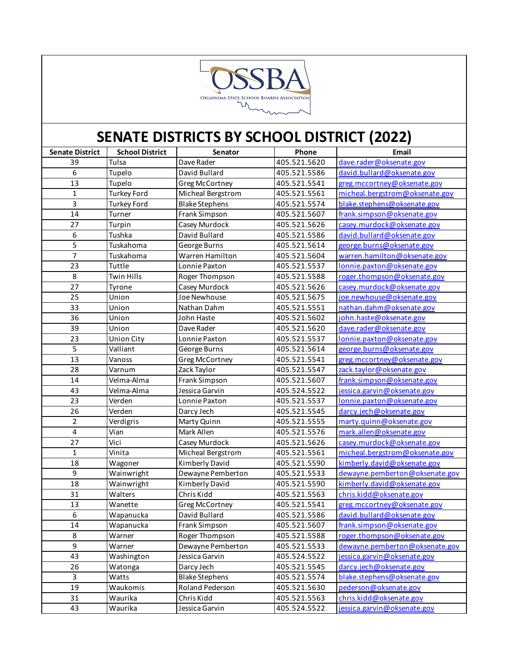

| <b>Senate District</b>  | <b>School District</b> | Senator               | Phone        | Email                          |
|-------------------------|------------------------|-----------------------|--------------|--------------------------------|
| 39                      | Tulsa                  | Dave Rader            | 405.521.5620 | dave.rader@oksenate.gov        |
| $\boldsymbol{6}$        | Tupelo                 | David Bullard         | 405.521.5586 | david.bullard@oksenate.gov     |
| 13                      | Tupelo                 | Greg McCortney        | 405.521.5541 | greg.mccortney@oksenate.gov    |
| $\mathbf{1}$            | <b>Turkey Ford</b>     | Micheal Bergstrom     | 405.521.5561 | micheal.bergstrom@oksenate.gov |
| 3                       | <b>Turkey Ford</b>     | <b>Blake Stephens</b> | 405.521.5574 | blake.stephens@oksenate.gov    |
| 14                      | Turner                 | Frank Simpson         | 405.521.5607 | frank.simpson@oksenate.gov     |
| 27                      | Turpin                 | Casey Murdock         | 405.521.5626 | casey.murdock@oksenate.gov     |
| $\boldsymbol{6}$        | Tushka                 | David Bullard         | 405.521.5586 | david.bullard@oksenate.gov     |
| 5                       | Tuskahoma              | George Burns          | 405.521.5614 | george.burns@oksenate.gov      |
| $\overline{7}$          | Tuskahoma              | Warren Hamilton       | 405.521.5604 | warren.hamilton@oksenate.gov   |
| 23                      | Tuttle                 | Lonnie Paxton         | 405.521.5537 | lonnie.paxton@oksenate.gov     |
| 8                       | <b>Twin Hills</b>      | Roger Thompson        | 405.521.5588 | roger.thompson@oksenate.gov    |
| 27                      | Tyrone                 | Casey Murdock         | 405.521.5626 | casey.murdock@oksenate.gov     |
| 25                      | Union                  | Joe Newhouse          | 405.521.5675 | joe.newhouse@oksenate.gov      |
| 33                      | Union                  | Nathan Dahm           | 405.521.5551 | nathan.dahm@oksenate.gov       |
| 36                      | Union                  | John Haste            | 405.521.5602 | john.haste@oksenate.gov        |
| 39                      | Union                  | Dave Rader            | 405.521.5620 | dave.rader@oksenate.gov        |
| 23                      | <b>Union City</b>      | Lonnie Paxton         | 405.521.5537 | lonnie.paxton@oksenate.gov     |
| 5                       | Valliant               | George Burns          | 405.521.5614 | george.burns@oksenate.gov      |
| 13                      | Vanoss                 | Greg McCortney        | 405.521.5541 | greg.mccortney@oksenate.gov    |
| 28                      | Varnum                 | Zack Taylor           | 405.521.5547 | zack.taylor@oksenate.gov       |
| 14                      | Velma-Alma             | Frank Simpson         | 405.521.5607 | frank.simpson@oksenate.gov     |
| 43                      | Velma-Alma             | Jessica Garvin        | 405.524.5522 | jessica.garvin@oksenate.gov    |
| 23                      | Verden                 | Lonnie Paxton         | 405.521.5537 | lonnie.paxton@oksenate.gov     |
| 26                      | Verden                 | Darcy Jech            | 405.521.5545 | darcy.jech@oksenate.gov        |
| $\overline{2}$          | Verdigris              | Marty Quinn           | 405.521.5555 | marty.quinn@oksenate.gov       |
| $\overline{\mathbf{4}}$ | Vian                   | Mark Allen            | 405.521.5576 | mark.allen@oksenate.gov        |
| 27                      | Vici                   | Casey Murdock         | 405.521.5626 | casey.murdock@oksenate.gov     |
| $\mathbf{1}$            | Vinita                 | Micheal Bergstrom     | 405.521.5561 | micheal.bergstrom@oksenate.gov |
| 18                      | Wagoner                | Kimberly David        | 405.521.5590 | kimberly.david@oksenate.gov    |
| 9                       | Wainwright             | Dewayne Pemberton     | 405.521.5533 | dewayne.pemberton@oksenate.gov |
| 18                      | Wainwright             | Kimberly David        | 405.521.5590 | kimberly.david@oksenate.gov    |
| 31                      | Walters                | Chris Kidd            | 405.521.5563 | chris.kidd@oksenate.gov        |
| 13                      | Wanette                | Greg McCortney        | 405.521.5541 | greg.mccortney@oksenate.gov    |
| 6                       | Wapanucka              | David Bullard         | 405.521.5586 | david.bullard@oksenate.gov     |
| 14                      | Wapanucka              | Frank Simpson         | 405.521.5607 | frank.simpson@oksenate.gov     |
| 8                       | Warner                 | Roger Thompson        | 405.521.5588 | roger.thompson@oksenate.gov    |
| 9                       | Warner                 | Dewayne Pemberton     | 405.521.5533 | dewayne.pemberton@oksenate.gov |
| 43                      | Washington             | Jessica Garvin        | 405.524.5522 | jessica.garvin@oksenate.gov    |
| 26                      | Watonga                | Darcy Jech            | 405.521.5545 | darcy.jech@oksenate.gov        |
| 3                       | Watts                  | <b>Blake Stephens</b> | 405.521.5574 | blake.stephens@oksenate.gov    |
| 19                      | Waukomis               | Roland Pederson       | 405.521.5630 | pederson@oksenate.gov          |
| 31                      | Waurika                | Chris Kidd            | 405.521.5563 | chris.kidd@oksenate.gov        |
| 43                      | Waurika                | Jessica Garvin        | 405.524.5522 | jessica.garvin@oksenate.gov    |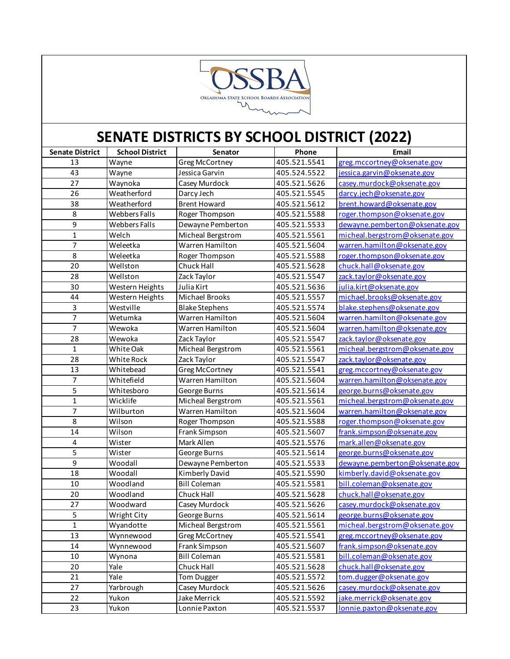

| <b>Senate District</b> | <b>School District</b> | Senator               | Phone        | Email                          |
|------------------------|------------------------|-----------------------|--------------|--------------------------------|
| 13                     | Wayne                  | Greg McCortney        | 405.521.5541 | greg.mccortney@oksenate.gov    |
| 43                     | Wayne                  | Jessica Garvin        | 405.524.5522 | jessica.garvin@oksenate.gov    |
| 27                     | Waynoka                | Casey Murdock         | 405.521.5626 | casey.murdock@oksenate.gov     |
| 26                     | Weatherford            | Darcy Jech            | 405.521.5545 | darcy.jech@oksenate.gov        |
| 38                     | Weatherford            | <b>Brent Howard</b>   | 405.521.5612 | brent.howard@oksenate.gov      |
| 8                      | <b>Webbers Falls</b>   | Roger Thompson        | 405.521.5588 | roger.thompson@oksenate.gov    |
| 9                      | <b>Webbers Falls</b>   | Dewayne Pemberton     | 405.521.5533 | dewayne.pemberton@oksenate.gov |
| $\mathbf{1}$           | Welch                  | Micheal Bergstrom     | 405.521.5561 | micheal.bergstrom@oksenate.gov |
| $\overline{7}$         | Weleetka               | Warren Hamilton       | 405.521.5604 | warren.hamilton@oksenate.gov   |
| 8                      | Weleetka               | Roger Thompson        | 405.521.5588 | roger.thompson@oksenate.gov    |
| 20                     | Wellston               | Chuck Hall            | 405.521.5628 | chuck.hall@oksenate.gov        |
| 28                     | Wellston               | Zack Taylor           | 405.521.5547 | zack.taylor@oksenate.gov       |
| 30                     | Western Heights        | Julia Kirt            | 405.521.5636 | julia.kirt@oksenate.gov        |
| 44                     | Western Heights        | Michael Brooks        | 405.521.5557 | michael.brooks@oksenate.gov    |
| 3                      | Westville              | <b>Blake Stephens</b> | 405.521.5574 | blake.stephens@oksenate.gov    |
| 7                      | Wetumka                | Warren Hamilton       | 405.521.5604 | warren.hamilton@oksenate.gov   |
| $\overline{7}$         | Wewoka                 | Warren Hamilton       | 405.521.5604 | warren.hamilton@oksenate.gov   |
| 28                     | Wewoka                 | Zack Taylor           | 405.521.5547 | zack.taylor@oksenate.gov       |
| $\mathbf{1}$           | White Oak              | Micheal Bergstrom     | 405.521.5561 | micheal.bergstrom@oksenate.gov |
| 28                     | White Rock             | Zack Taylor           | 405.521.5547 | zack.taylor@oksenate.gov       |
| 13                     | Whitebead              | Greg McCortney        | 405.521.5541 | greg.mccortney@oksenate.gov    |
| 7                      | Whitefield             | Warren Hamilton       | 405.521.5604 | warren.hamilton@oksenate.gov   |
| 5                      | Whitesboro             | George Burns          | 405.521.5614 | george.burns@oksenate.gov      |
| $\mathbf{1}$           | Wicklife               | Micheal Bergstrom     | 405.521.5561 | micheal.bergstrom@oksenate.gov |
| 7                      | Wilburton              | Warren Hamilton       | 405.521.5604 | warren.hamilton@oksenate.gov   |
| 8                      | Wilson                 | Roger Thompson        | 405.521.5588 | roger.thompson@oksenate.gov    |
| 14                     | Wilson                 | Frank Simpson         | 405.521.5607 | frank.simpson@oksenate.gov     |
| 4                      | Wister                 | Mark Allen            | 405.521.5576 | mark.allen@oksenate.gov        |
| 5                      | Wister                 | George Burns          | 405.521.5614 | george.burns@oksenate.gov      |
| $\overline{9}$         | Woodall                | Dewayne Pemberton     | 405.521.5533 | dewayne.pemberton@oksenate.gov |
| 18                     | Woodall                | Kimberly David        | 405.521.5590 | kimberly.david@oksenate.gov    |
| 10                     | Woodland               | <b>Bill Coleman</b>   | 405.521.5581 | bill.coleman@oksenate.gov      |
| 20                     | Woodland               | Chuck Hall            | 405.521.5628 | chuck.hall@oksenate.gov        |
| 27                     | Woodward               | Casey Murdock         | 405.521.5626 | casey.murdock@oksenate.gov     |
| 5                      | Wright City            | George Burns          | 405.521.5614 | george.burns@oksenate.gov      |
| $\mathbf{1}$           | Wyandotte              | Micheal Bergstrom     | 405.521.5561 | micheal.bergstrom@oksenate.gov |
| 13                     | Wynnewood              | Greg McCortney        | 405.521.5541 | greg.mccortney@oksenate.gov    |
| 14                     | Wynnewood              | Frank Simpson         | 405.521.5607 | frank.simpson@oksenate.gov     |
| $10\,$                 | Wynona                 | <b>Bill Coleman</b>   | 405.521.5581 | bill.coleman@oksenate.gov      |
| $20\,$                 | Yale                   | Chuck Hall            | 405.521.5628 | chuck.hall@oksenate.gov        |
| 21                     | Yale                   | Tom Dugger            | 405.521.5572 | tom.dugger@oksenate.gov        |
| 27                     | Yarbrough              | Casey Murdock         | 405.521.5626 | casey.murdock@oksenate.gov     |
| 22                     | Yukon                  | Jake Merrick          | 405.521.5592 | jake.merrick@oksenate.gov      |
| 23                     | Yukon                  | Lonnie Paxton         | 405.521.5537 | lonnie.paxton@oksenate.gov     |